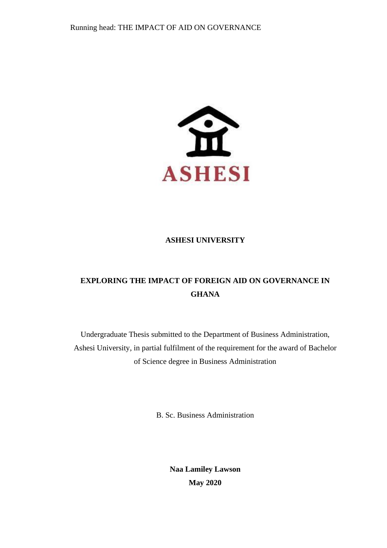

## **ASHESI UNIVERSITY**

# **EXPLORING THE IMPACT OF FOREIGN AID ON GOVERNANCE IN GHANA**

Undergraduate Thesis submitted to the Department of Business Administration, Ashesi University, in partial fulfilment of the requirement for the award of Bachelor of Science degree in Business Administration

B. Sc. Business Administration

**Naa Lamiley Lawson May 2020**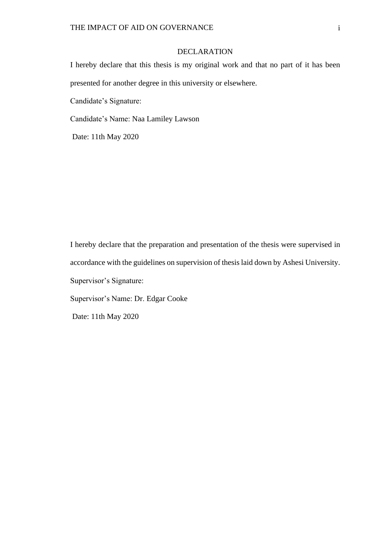### DECLARATION

I hereby declare that this thesis is my original work and that no part of it has been presented for another degree in this university or elsewhere.

Candidate's Signature:

Candidate's Name: Naa Lamiley Lawson

Date: 11th May 2020

I hereby declare that the preparation and presentation of the thesis were supervised in accordance with the guidelines on supervision of thesis laid down by Ashesi University. Supervisor's Signature: Supervisor's Name: Dr. Edgar Cooke Date: 11th May 2020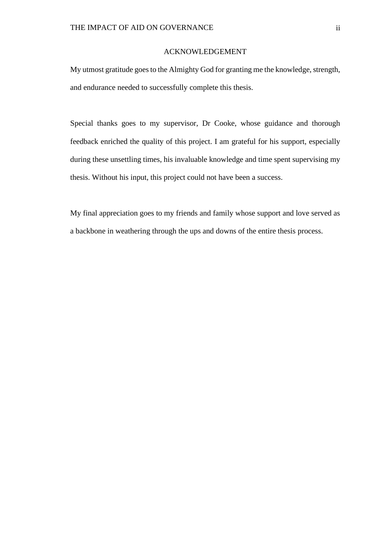#### ACKNOWLEDGEMENT

<span id="page-2-0"></span>My utmost gratitude goes to the Almighty God for granting me the knowledge, strength, and endurance needed to successfully complete this thesis.

Special thanks goes to my supervisor, Dr Cooke, whose guidance and thorough feedback enriched the quality of this project. I am grateful for his support, especially during these unsettling times, his invaluable knowledge and time spent supervising my thesis. Without his input, this project could not have been a success.

My final appreciation goes to my friends and family whose support and love served as a backbone in weathering through the ups and downs of the entire thesis process.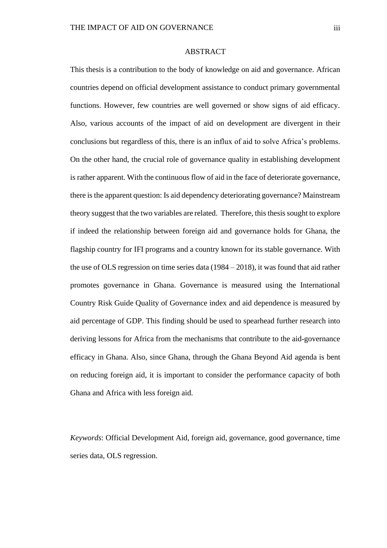### ABSTRACT

<span id="page-3-0"></span>This thesis is a contribution to the body of knowledge on aid and governance. African countries depend on official development assistance to conduct primary governmental functions. However, few countries are well governed or show signs of aid efficacy. Also, various accounts of the impact of aid on development are divergent in their conclusions but regardless of this, there is an influx of aid to solve Africa's problems. On the other hand, the crucial role of governance quality in establishing development is rather apparent. With the continuous flow of aid in the face of deteriorate governance, there is the apparent question: Is aid dependency deteriorating governance? Mainstream theory suggest that the two variables are related. Therefore, this thesis sought to explore if indeed the relationship between foreign aid and governance holds for Ghana, the flagship country for IFI programs and a country known for its stable governance. With the use of OLS regression on time series data (1984 – 2018), it was found that aid rather promotes governance in Ghana. Governance is measured using the International Country Risk Guide Quality of Governance index and aid dependence is measured by aid percentage of GDP. This finding should be used to spearhead further research into deriving lessons for Africa from the mechanisms that contribute to the aid-governance efficacy in Ghana. Also, since Ghana, through the Ghana Beyond Aid agenda is bent on reducing foreign aid, it is important to consider the performance capacity of both Ghana and Africa with less foreign aid.

*Keywords*: Official Development Aid, foreign aid, governance, good governance, time series data, OLS regression.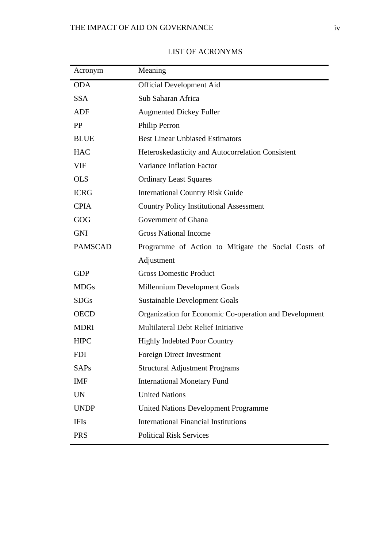<span id="page-4-0"></span>

| Acronym        | Meaning                                                |
|----------------|--------------------------------------------------------|
| <b>ODA</b>     | <b>Official Development Aid</b>                        |
| <b>SSA</b>     | Sub Saharan Africa                                     |
| ADF            | <b>Augmented Dickey Fuller</b>                         |
| PP             | Philip Perron                                          |
| <b>BLUE</b>    | <b>Best Linear Unbiased Estimators</b>                 |
| <b>HAC</b>     | Heteroskedasticity and Autocorrelation Consistent      |
| <b>VIF</b>     | Variance Inflation Factor                              |
| <b>OLS</b>     | <b>Ordinary Least Squares</b>                          |
| <b>ICRG</b>    | <b>International Country Risk Guide</b>                |
| <b>CPIA</b>    | <b>Country Policy Institutional Assessment</b>         |
| GOG            | Government of Ghana                                    |
| <b>GNI</b>     | <b>Gross National Income</b>                           |
| <b>PAMSCAD</b> | Programme of Action to Mitigate the Social Costs of    |
|                | Adjustment                                             |
| <b>GDP</b>     | <b>Gross Domestic Product</b>                          |
| <b>MDGs</b>    | Millennium Development Goals                           |
| <b>SDGs</b>    | <b>Sustainable Development Goals</b>                   |
| <b>OECD</b>    | Organization for Economic Co-operation and Development |
| <b>MDRI</b>    | Multilateral Debt Relief Initiative                    |
| <b>HIPC</b>    | <b>Highly Indebted Poor Country</b>                    |
| <b>FDI</b>     | <b>Foreign Direct Investment</b>                       |
| <b>SAPs</b>    | <b>Structural Adjustment Programs</b>                  |
| <b>IMF</b>     | <b>International Monetary Fund</b>                     |
| <b>UN</b>      | <b>United Nations</b>                                  |
| <b>UNDP</b>    | <b>United Nations Development Programme</b>            |
| <b>IFIs</b>    | <b>International Financial Institutions</b>            |
| <b>PRS</b>     | <b>Political Risk Services</b>                         |

# LIST OF ACRONYMS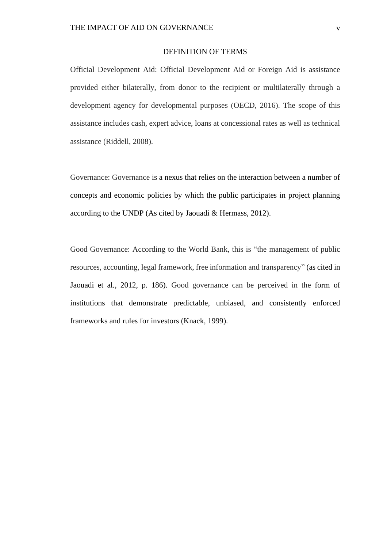#### DEFINITION OF TERMS

<span id="page-5-0"></span>Official Development Aid: Official Development Aid or Foreign Aid is assistance provided either bilaterally, from donor to the recipient or multilaterally through a development agency for developmental purposes (OECD, 2016). The scope of this assistance includes cash, expert advice, loans at concessional rates as well as technical assistance (Riddell, 2008).

Governance: Governance is a nexus that relies on the interaction between a number of concepts and economic policies by which the public participates in project planning according to the UNDP (As cited by Jaouadi & Hermass, 2012).

Good Governance: According to the World Bank, this is "the management of public resources, accounting, legal framework, free information and transparency" (as cited in Jaouadi et al*.*, 2012, p. 186). Good governance can be perceived in the form of institutions that demonstrate predictable, unbiased, and consistently enforced frameworks and rules for investors (Knack, 1999).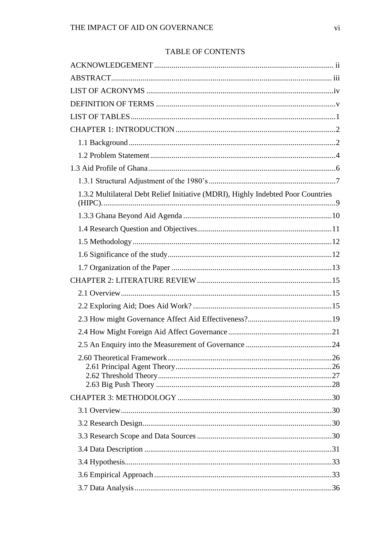# TABLE OF CONTENTS

| 1.3.2 Multilateral Debt Relief Initiative (MDRI), Highly Indebted Poor Countries |  |
|----------------------------------------------------------------------------------|--|
|                                                                                  |  |
|                                                                                  |  |
|                                                                                  |  |
|                                                                                  |  |
|                                                                                  |  |
|                                                                                  |  |
|                                                                                  |  |
|                                                                                  |  |
|                                                                                  |  |
|                                                                                  |  |
|                                                                                  |  |
|                                                                                  |  |
|                                                                                  |  |
|                                                                                  |  |
|                                                                                  |  |
|                                                                                  |  |
|                                                                                  |  |
|                                                                                  |  |
|                                                                                  |  |
|                                                                                  |  |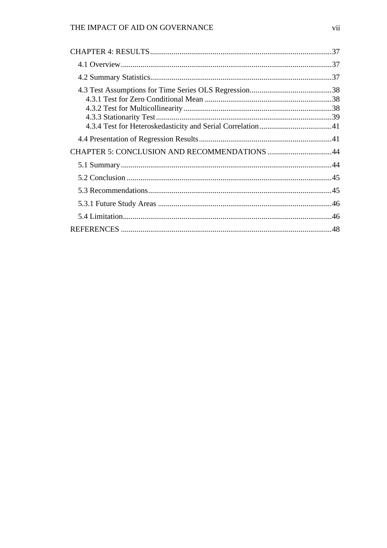# THE IMPACT OF AID ON GOVERNANCE

| CHAPTER 5: CONCLUSION AND RECOMMENDATIONS 44 |  |
|----------------------------------------------|--|
|                                              |  |
|                                              |  |
|                                              |  |
|                                              |  |
|                                              |  |
|                                              |  |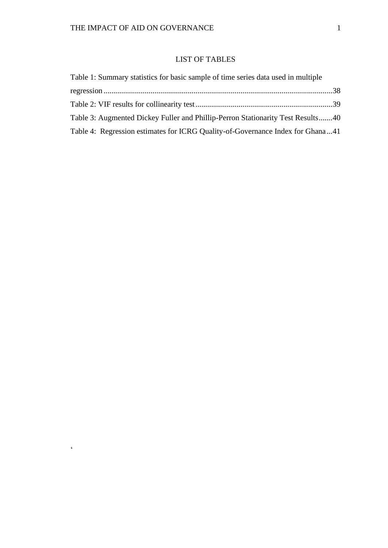$\sim$ 

## LIST OF TABLES

<span id="page-8-0"></span>

| Table 1: Summary statistics for basic sample of time series data used in multiple |  |
|-----------------------------------------------------------------------------------|--|
|                                                                                   |  |
|                                                                                   |  |
| Table 3: Augmented Dickey Fuller and Phillip-Perron Stationarity Test Results40   |  |
| Table 4: Regression estimates for ICRG Quality-of-Governance Index for Ghana41    |  |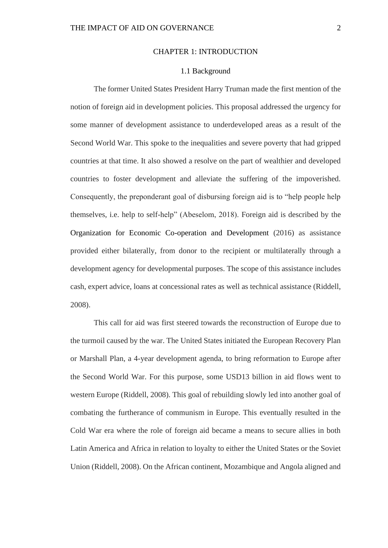### CHAPTER 1: INTRODUCTION

#### 1.1 Background

<span id="page-9-1"></span><span id="page-9-0"></span>The former United States President Harry Truman made the first mention of the notion of foreign aid in development policies. This proposal addressed the urgency for some manner of development assistance to underdeveloped areas as a result of the Second World War. This spoke to the inequalities and severe poverty that had gripped countries at that time. It also showed a resolve on the part of wealthier and developed countries to foster development and alleviate the suffering of the impoverished. Consequently, the preponderant goal of disbursing foreign aid is to "help people help themselves, i.e. help to self-help" (Abeselom, 2018). Foreign aid is described by the Organization for Economic Co-operation and Development (2016) as assistance provided either bilaterally, from donor to the recipient or multilaterally through a development agency for developmental purposes. The scope of this assistance includes cash, expert advice, loans at concessional rates as well as technical assistance (Riddell, 2008).

This call for aid was first steered towards the reconstruction of Europe due to the turmoil caused by the war. The United States initiated the European Recovery Plan or Marshall Plan, a 4-year development agenda, to bring reformation to Europe after the Second World War. For this purpose, some USD13 billion in aid flows went to western Europe (Riddell, 2008). This goal of rebuilding slowly led into another goal of combating the furtherance of communism in Europe. This eventually resulted in the Cold War era where the role of foreign aid became a means to secure allies in both Latin America and Africa in relation to loyalty to either the United States or the Soviet Union (Riddell, 2008). On the African continent, Mozambique and Angola aligned and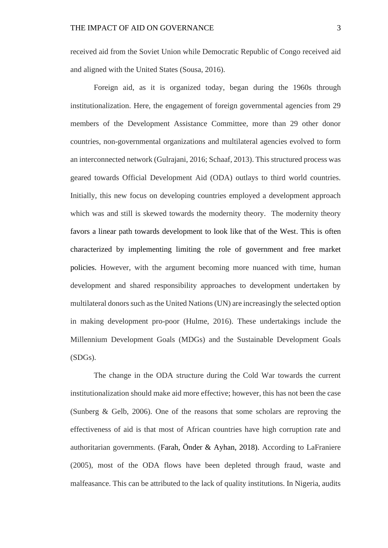received aid from the Soviet Union while Democratic Republic of Congo received aid and aligned with the United States (Sousa, 2016).

Foreign aid, as it is organized today, began during the 1960s through institutionalization. Here, the engagement of foreign governmental agencies from 29 members of the Development Assistance Committee, more than 29 other donor countries, non-governmental organizations and multilateral agencies evolved to form an interconnected network (Gulrajani, 2016; Schaaf, 2013). This structured process was geared towards Official Development Aid (ODA) outlays to third world countries. Initially, this new focus on developing countries employed a development approach which was and still is skewed towards the modernity theory. The modernity theory favors a linear path towards development to look like that of the West. This is often characterized by implementing limiting the role of government and free market policies. However, with the argument becoming more nuanced with time, human development and shared responsibility approaches to development undertaken by multilateral donors such as the United Nations (UN) are increasingly the selected option in making development pro-poor (Hulme, 2016). These undertakings include the Millennium Development Goals (MDGs) and the Sustainable Development Goals (SDGs).

The change in the ODA structure during the Cold War towards the current institutionalization should make aid more effective; however, this has not been the case (Sunberg & Gelb, 2006). One of the reasons that some scholars are reproving the effectiveness of aid is that most of African countries have high corruption rate and authoritarian governments. (Farah, Önder & Ayhan, 2018). According to LaFraniere (2005), most of the ODA flows have been depleted through fraud, waste and malfeasance. This can be attributed to the lack of quality institutions. In Nigeria, audits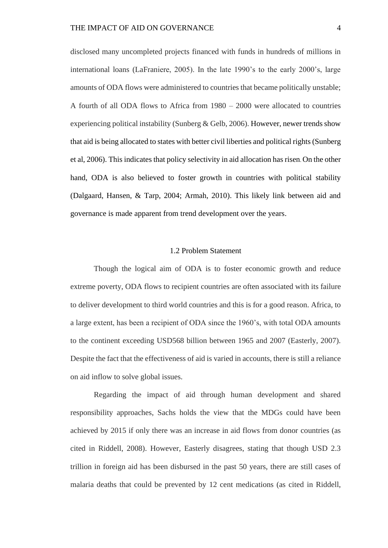disclosed many uncompleted projects financed with funds in hundreds of millions in international loans (LaFraniere, 2005). In the late 1990's to the early 2000's, large amounts of ODA flows were administered to countries that became politically unstable; A fourth of all ODA flows to Africa from 1980 – 2000 were allocated to countries experiencing political instability (Sunberg & Gelb, 2006). However, newer trends show that aid is being allocated to states with better civil liberties and political rights (Sunberg et al, 2006). This indicates that policy selectivity in aid allocation has risen. On the other hand, ODA is also believed to foster growth in countries with political stability (Dalgaard, Hansen, & Tarp, 2004; Armah, 2010). This likely link between aid and governance is made apparent from trend development over the years.

### 1.2 Problem Statement

<span id="page-11-0"></span>Though the logical aim of ODA is to foster economic growth and reduce extreme poverty, ODA flows to recipient countries are often associated with its failure to deliver development to third world countries and this is for a good reason. Africa, to a large extent, has been a recipient of ODA since the 1960's, with total ODA amounts to the continent exceeding USD568 billion between 1965 and 2007 (Easterly, 2007). Despite the fact that the effectiveness of aid is varied in accounts, there is still a reliance on aid inflow to solve global issues.

Regarding the impact of aid through human development and shared responsibility approaches, Sachs holds the view that the MDGs could have been achieved by 2015 if only there was an increase in aid flows from donor countries (as cited in Riddell, 2008). However, Easterly disagrees, stating that though USD 2.3 trillion in foreign aid has been disbursed in the past 50 years, there are still cases of malaria deaths that could be prevented by 12 cent medications (as cited in Riddell,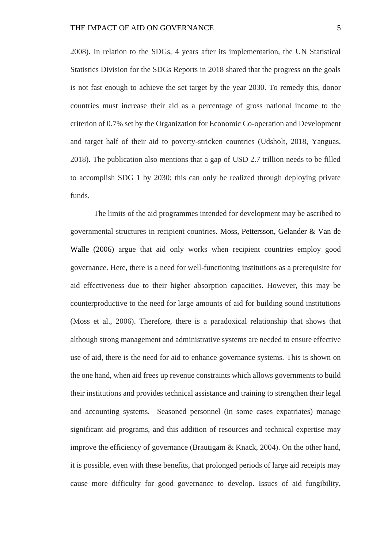2008). In relation to the SDGs, 4 years after its implementation, the UN Statistical Statistics Division for the SDGs Reports in 2018 shared that the progress on the goals is not fast enough to achieve the set target by the year 2030. To remedy this, donor countries must increase their aid as a percentage of gross national income to the criterion of 0.7% set by the Organization for Economic Co-operation and Development and target half of their aid to poverty-stricken countries (Udsholt, 2018, Yanguas, 2018). The publication also mentions that a gap of USD 2.7 trillion needs to be filled to accomplish SDG 1 by 2030; this can only be realized through deploying private funds.

The limits of the aid programmes intended for development may be ascribed to governmental structures in recipient countries. Moss, Pettersson, Gelander & Van de Walle (2006) argue that aid only works when recipient countries employ good governance. Here, there is a need for well-functioning institutions as a prerequisite for aid effectiveness due to their higher absorption capacities. However, this may be counterproductive to the need for large amounts of aid for building sound institutions (Moss et al., 2006). Therefore, there is a paradoxical relationship that shows that although strong management and administrative systems are needed to ensure effective use of aid, there is the need for aid to enhance governance systems. This is shown on the one hand, when aid frees up revenue constraints which allows governments to build their institutions and provides technical assistance and training to strengthen their legal and accounting systems. Seasoned personnel (in some cases expatriates) manage significant aid programs, and this addition of resources and technical expertise may improve the efficiency of governance (Brautigam & Knack, 2004). On the other hand, it is possible, even with these benefits, that prolonged periods of large aid receipts may cause more difficulty for good governance to develop. Issues of aid fungibility,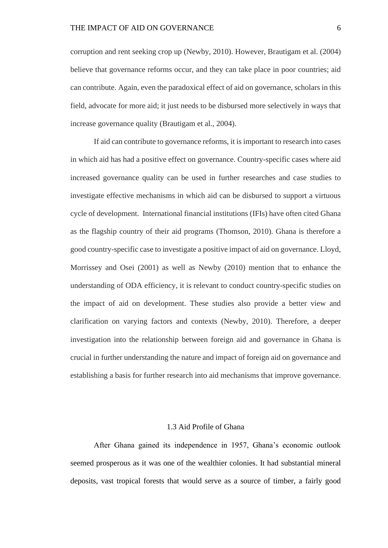corruption and rent seeking crop up (Newby, 2010). However, Brautigam et al. (2004) believe that governance reforms occur, and they can take place in poor countries; aid can contribute. Again, even the paradoxical effect of aid on governance, scholars in this field, advocate for more aid; it just needs to be disbursed more selectively in ways that increase governance quality (Brautigam et al., 2004).

If aid can contribute to governance reforms, it is important to research into cases in which aid has had a positive effect on governance. Country-specific cases where aid increased governance quality can be used in further researches and case studies to investigate effective mechanisms in which aid can be disbursed to support a virtuous cycle of development. International financial institutions (IFIs) have often cited Ghana as the flagship country of their aid programs (Thomson, 2010). Ghana is therefore a good country-specific case to investigate a positive impact of aid on governance. Lloyd, Morrissey and Osei (2001) as well as Newby (2010) mention that to enhance the understanding of ODA efficiency, it is relevant to conduct country-specific studies on the impact of aid on development. These studies also provide a better view and clarification on varying factors and contexts (Newby, 2010). Therefore, a deeper investigation into the relationship between foreign aid and governance in Ghana is crucial in further understanding the nature and impact of foreign aid on governance and establishing a basis for further research into aid mechanisms that improve governance.

### 1.3 Aid Profile of Ghana

<span id="page-13-0"></span>After Ghana gained its independence in 1957, Ghana's economic outlook seemed prosperous as it was one of the wealthier colonies. It had substantial mineral deposits, vast tropical forests that would serve as a source of timber, a fairly good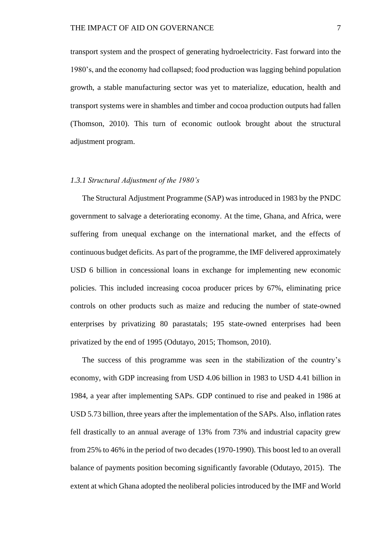transport system and the prospect of generating hydroelectricity. Fast forward into the 1980's, and the economy had collapsed; food production was lagging behind population growth, a stable manufacturing sector was yet to materialize, education, health and transport systems were in shambles and timber and cocoa production outputs had fallen (Thomson, 2010). This turn of economic outlook brought about the structural adjustment program.

### <span id="page-14-0"></span>*1.3.1 Structural Adjustment of the 1980's*

The Structural Adjustment Programme (SAP) was introduced in 1983 by the PNDC government to salvage a deteriorating economy. At the time, Ghana, and Africa, were suffering from unequal exchange on the international market, and the effects of continuous budget deficits. As part of the programme, the IMF delivered approximately USD 6 billion in concessional loans in exchange for implementing new economic policies. This included increasing cocoa producer prices by 67%, eliminating price controls on other products such as maize and reducing the number of state-owned enterprises by privatizing 80 parastatals; 195 state-owned enterprises had been privatized by the end of 1995 (Odutayo, 2015; Thomson, 2010).

The success of this programme was seen in the stabilization of the country's economy, with GDP increasing from USD 4.06 billion in 1983 to USD 4.41 billion in 1984, a year after implementing SAPs. GDP continued to rise and peaked in 1986 at USD 5.73 billion, three years after the implementation of the SAPs. Also, inflation rates fell drastically to an annual average of 13% from 73% and industrial capacity grew from 25% to 46% in the period of two decades (1970-1990). This boost led to an overall balance of payments position becoming significantly favorable (Odutayo, 2015). The extent at which Ghana adopted the neoliberal policies introduced by the IMF and World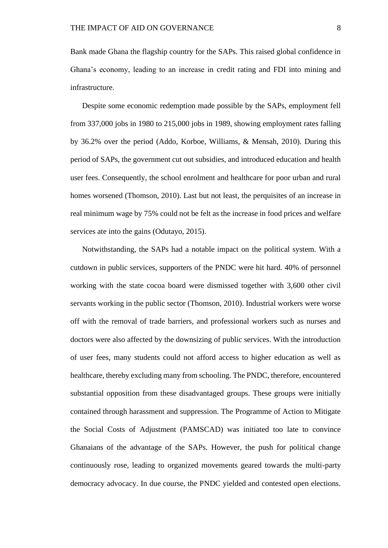Bank made Ghana the flagship country for the SAPs. This raised global confidence in Ghana's economy, leading to an increase in credit rating and FDI into mining and infrastructure.

Despite some economic redemption made possible by the SAPs, employment fell from 337,000 jobs in 1980 to 215,000 jobs in 1989, showing employment rates falling by 36.2% over the period (Addo, Korboe, Williams, & Mensah, 2010). During this period of SAPs, the government cut out subsidies, and introduced education and health user fees. Consequently, the school enrolment and healthcare for poor urban and rural homes worsened (Thomson, 2010). Last but not least, the perquisites of an increase in real minimum wage by 75% could not be felt as the increase in food prices and welfare services ate into the gains (Odutayo, 2015).

Notwithstanding, the SAPs had a notable impact on the political system. With a cutdown in public services, supporters of the PNDC were hit hard. 40% of personnel working with the state cocoa board were dismissed together with 3,600 other civil servants working in the public sector (Thomson, 2010). Industrial workers were worse off with the removal of trade barriers, and professional workers such as nurses and doctors were also affected by the downsizing of public services. With the introduction of user fees, many students could not afford access to higher education as well as healthcare, thereby excluding many from schooling. The PNDC, therefore, encountered substantial opposition from these disadvantaged groups. These groups were initially contained through harassment and suppression. The Programme of Action to Mitigate the Social Costs of Adjustment (PAMSCAD) was initiated too late to convince Ghanaians of the advantage of the SAPs. However, the push for political change continuously rose, leading to organized movements geared towards the multi-party democracy advocacy. In due course, the PNDC yielded and contested open elections.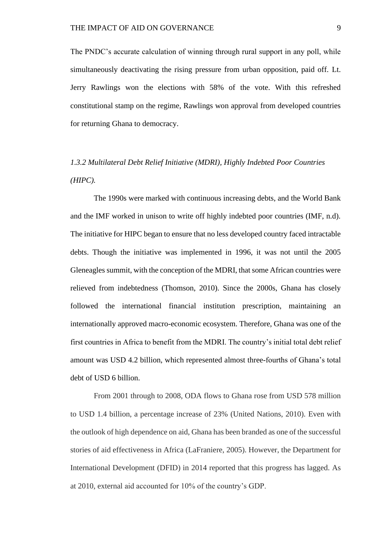The PNDC's accurate calculation of winning through rural support in any poll, while simultaneously deactivating the rising pressure from urban opposition, paid off. Lt. Jerry Rawlings won the elections with 58% of the vote. With this refreshed constitutional stamp on the regime, Rawlings won approval from developed countries for returning Ghana to democracy.

# <span id="page-16-0"></span>*1.3.2 Multilateral Debt Relief Initiative (MDRI), Highly Indebted Poor Countries (HIPC).*

The 1990s were marked with continuous increasing debts, and the World Bank and the IMF worked in unison to write off highly indebted poor countries (IMF, n.d). The initiative for HIPC began to ensure that no less developed country faced intractable debts. Though the initiative was implemented in 1996, it was not until the 2005 Gleneagles summit, with the conception of the MDRI, that some African countries were relieved from indebtedness (Thomson, 2010). Since the 2000s, Ghana has closely followed the international financial institution prescription, maintaining an internationally approved macro-economic ecosystem. Therefore, Ghana was one of the first countries in Africa to benefit from the MDRI. The country's initial total debt relief amount was USD 4.2 billion, which represented almost three-fourths of Ghana's total debt of USD 6 billion.

From 2001 through to 2008, ODA flows to Ghana rose from USD 578 million to USD 1.4 billion, a percentage increase of 23% (United Nations, 2010). Even with the outlook of high dependence on aid, Ghana has been branded as one of the successful stories of aid effectiveness in Africa (LaFraniere, 2005). However, the Department for International Development (DFID) in 2014 reported that this progress has lagged. As at 2010, external aid accounted for 10% of the country's GDP.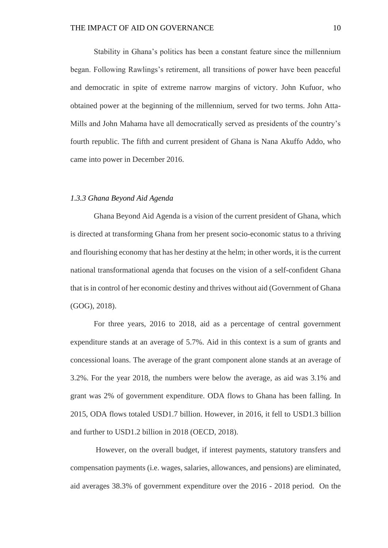Stability in Ghana's politics has been a constant feature since the millennium began. Following Rawlings's retirement, all transitions of power have been peaceful and democratic in spite of extreme narrow margins of victory. John Kufuor, who obtained power at the beginning of the millennium, served for two terms. John Atta-Mills and John Mahama have all democratically served as presidents of the country's fourth republic. The fifth and current president of Ghana is Nana Akuffo Addo, who came into power in December 2016.

#### <span id="page-17-0"></span>*1.3.3 Ghana Beyond Aid Agenda*

Ghana Beyond Aid Agenda is a vision of the current president of Ghana, which is directed at transforming Ghana from her present socio-economic status to a thriving and flourishing economy that has her destiny at the helm; in other words, it is the current national transformational agenda that focuses on the vision of a self-confident Ghana that is in control of her economic destiny and thrives without aid (Government of Ghana (GOG), 2018).

For three years, 2016 to 2018, aid as a percentage of central government expenditure stands at an average of 5.7%. Aid in this context is a sum of grants and concessional loans. The average of the grant component alone stands at an average of 3.2%. For the year 2018, the numbers were below the average, as aid was 3.1% and grant was 2% of government expenditure. ODA flows to Ghana has been falling. In 2015, ODA flows totaled USD1.7 billion. However, in 2016, it fell to USD1.3 billion and further to USD1.2 billion in 2018 (OECD, 2018).

However, on the overall budget, if interest payments, statutory transfers and compensation payments (i.e. wages, salaries, allowances, and pensions) are eliminated, aid averages 38.3% of government expenditure over the 2016 - 2018 period. On the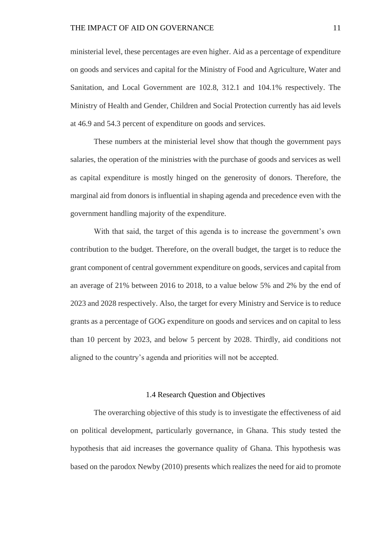ministerial level, these percentages are even higher. Aid as a percentage of expenditure on goods and services and capital for the Ministry of Food and Agriculture, Water and Sanitation, and Local Government are 102.8, 312.1 and 104.1% respectively. The Ministry of Health and Gender, Children and Social Protection currently has aid levels at 46.9 and 54.3 percent of expenditure on goods and services.

These numbers at the ministerial level show that though the government pays salaries, the operation of the ministries with the purchase of goods and services as well as capital expenditure is mostly hinged on the generosity of donors. Therefore, the marginal aid from donors is influential in shaping agenda and precedence even with the government handling majority of the expenditure.

With that said, the target of this agenda is to increase the government's own contribution to the budget. Therefore, on the overall budget, the target is to reduce the grant component of central government expenditure on goods, services and capital from an average of 21% between 2016 to 2018, to a value below 5% and 2% by the end of 2023 and 2028 respectively. Also, the target for every Ministry and Service is to reduce grants as a percentage of GOG expenditure on goods and services and on capital to less than 10 percent by 2023, and below 5 percent by 2028. Thirdly, aid conditions not aligned to the country's agenda and priorities will not be accepted.

#### 1.4 Research Question and Objectives

<span id="page-18-0"></span>The overarching objective of this study is to investigate the effectiveness of aid on political development, particularly governance, in Ghana. This study tested the hypothesis that aid increases the governance quality of Ghana. This hypothesis was based on the parodox Newby (2010) presents which realizes the need for aid to promote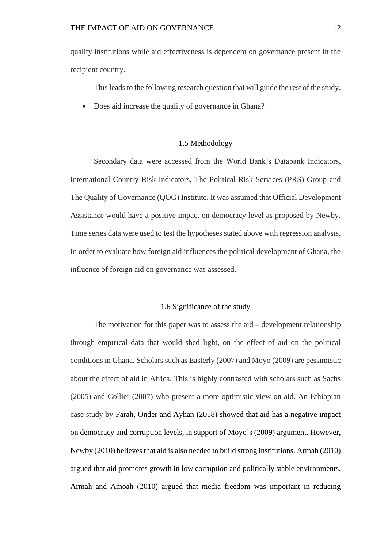quality institutions while aid effectiveness is dependent on governance present in the recipient country.

This leads to the following research question that will guide the rest of the study.

• Does aid increase the quality of governance in Ghana?

### 1.5 Methodology

<span id="page-19-0"></span>Secondary data were accessed from the World Bank's Databank Indicators, International Country Risk Indicators, The Political Risk Services (PRS) Group and The Quality of Governance (QOG) Institute. It was assumed that Official Development Assistance would have a positive impact on democracy level as proposed by Newby. Time series data were used to test the hypotheses stated above with regression analysis. In order to evaluate how foreign aid influences the political development of Ghana, the influence of foreign aid on governance was assessed.

### 1.6 Significance of the study

<span id="page-19-1"></span>The motivation for this paper was to assess the  $aid$  – development relationship through empirical data that would shed light, on the effect of aid on the political conditions in Ghana. Scholars such as Easterly (2007) and Moyo (2009) are pessimistic about the effect of aid in Africa. This is highly contrasted with scholars such as Sachs (2005) and Collier (2007) who present a more optimistic view on aid. An Ethiopian case study by Farah, Önder and Ayhan (2018) showed that aid has a negative impact on democracy and corruption levels, in support of Moyo's (2009) argument. However, Newby (2010) believes that aid is also needed to build strong institutions. Armah (2010) argued that aid promotes growth in low corruption and politically stable environments. Armah and Amoah (2010) argued that media freedom was important in reducing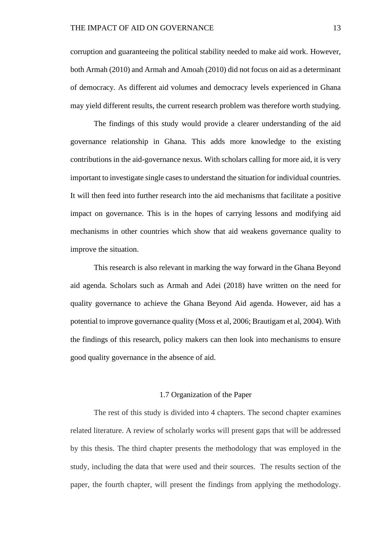corruption and guaranteeing the political stability needed to make aid work. However, both Armah (2010) and Armah and Amoah (2010) did not focus on aid as a determinant of democracy. As different aid volumes and democracy levels experienced in Ghana may yield different results, the current research problem was therefore worth studying.

The findings of this study would provide a clearer understanding of the aid governance relationship in Ghana. This adds more knowledge to the existing contributions in the aid-governance nexus. With scholars calling for more aid, it is very important to investigate single cases to understand the situation for individual countries. It will then feed into further research into the aid mechanisms that facilitate a positive impact on governance. This is in the hopes of carrying lessons and modifying aid mechanisms in other countries which show that aid weakens governance quality to improve the situation.

This research is also relevant in marking the way forward in the Ghana Beyond aid agenda. Scholars such as Armah and Adei (2018) have written on the need for quality governance to achieve the Ghana Beyond Aid agenda. However, aid has a potential to improve governance quality (Moss et al, 2006; Brautigam et al, 2004). With the findings of this research, policy makers can then look into mechanisms to ensure good quality governance in the absence of aid.

#### 1.7 Organization of the Paper

<span id="page-20-0"></span>The rest of this study is divided into 4 chapters. The second chapter examines related literature. A review of scholarly works will present gaps that will be addressed by this thesis. The third chapter presents the methodology that was employed in the study, including the data that were used and their sources. The results section of the paper, the fourth chapter, will present the findings from applying the methodology.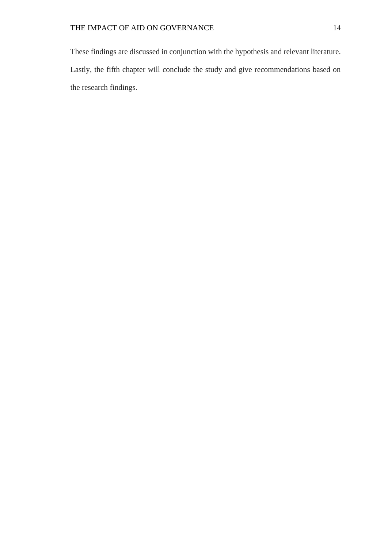These findings are discussed in conjunction with the hypothesis and relevant literature. Lastly, the fifth chapter will conclude the study and give recommendations based on the research findings.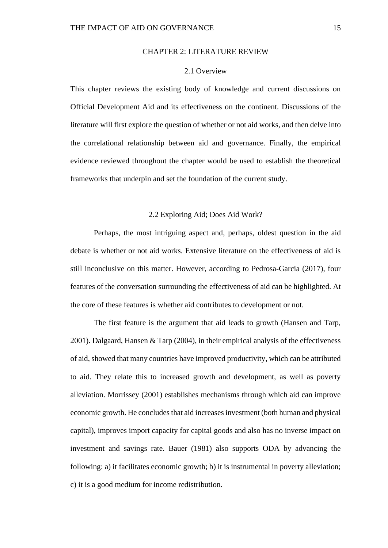### CHAPTER 2: LITERATURE REVIEW

#### 2.1 Overview

<span id="page-22-1"></span><span id="page-22-0"></span>This chapter reviews the existing body of knowledge and current discussions on Official Development Aid and its effectiveness on the continent. Discussions of the literature will first explore the question of whether or not aid works, and then delve into the correlational relationship between aid and governance. Finally, the empirical evidence reviewed throughout the chapter would be used to establish the theoretical frameworks that underpin and set the foundation of the current study.

### 2.2 Exploring Aid; Does Aid Work?

<span id="page-22-2"></span>Perhaps, the most intriguing aspect and, perhaps, oldest question in the aid debate is whether or not aid works. Extensive literature on the effectiveness of aid is still inconclusive on this matter. However, according to Pedrosa-Garcia (2017), four features of the conversation surrounding the effectiveness of aid can be highlighted. At the core of these features is whether aid contributes to development or not.

The first feature is the argument that aid leads to growth (Hansen and Tarp, 2001). Dalgaard, Hansen & Tarp (2004), in their empirical analysis of the effectiveness of aid, showed that many countries have improved productivity, which can be attributed to aid. They relate this to increased growth and development, as well as poverty alleviation. Morrissey (2001) establishes mechanisms through which aid can improve economic growth. He concludes that aid increases investment (both human and physical capital), improves import capacity for capital goods and also has no inverse impact on investment and savings rate. Bauer (1981) also supports ODA by advancing the following: a) it facilitates economic growth; b) it is instrumental in poverty alleviation; c) it is a good medium for income redistribution.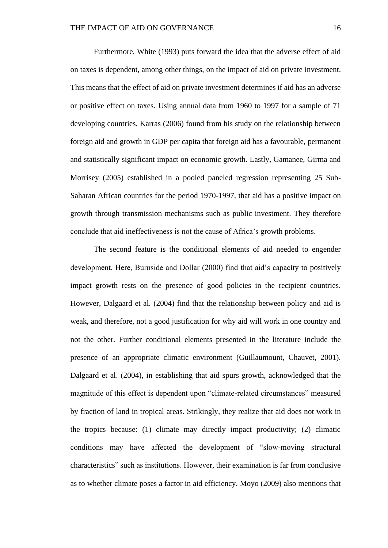Furthermore, White (1993) puts forward the idea that the adverse effect of aid on taxes is dependent, among other things, on the impact of aid on private investment. This means that the effect of aid on private investment determines if aid has an adverse or positive effect on taxes. Using annual data from 1960 to 1997 for a sample of 71 developing countries, Karras (2006) found from his study on the relationship between foreign aid and growth in GDP per capita that foreign aid has a favourable, permanent and statistically significant impact on economic growth. Lastly, Gamanee, Girma and Morrisey (2005) established in a pooled paneled regression representing 25 Sub-Saharan African countries for the period 1970-1997, that aid has a positive impact on growth through transmission mechanisms such as public investment. They therefore conclude that aid ineffectiveness is not the cause of Africa's growth problems.

The second feature is the conditional elements of aid needed to engender development. Here, Burnside and Dollar (2000) find that aid's capacity to positively impact growth rests on the presence of good policies in the recipient countries. However, Dalgaard et al*.* (2004) find that the relationship between policy and aid is weak, and therefore, not a good justification for why aid will work in one country and not the other. Further conditional elements presented in the literature include the presence of an appropriate climatic environment (Guillaumount, Chauvet, 2001). Dalgaard et al. (2004), in establishing that aid spurs growth, acknowledged that the magnitude of this effect is dependent upon "climate-related circumstances" measured by fraction of land in tropical areas. Strikingly, they realize that aid does not work in the tropics because: (1) climate may directly impact productivity; (2) climatic conditions may have affected the development of "slow-moving structural characteristics" such as institutions. However, their examination is far from conclusive as to whether climate poses a factor in aid efficiency. Moyo (2009) also mentions that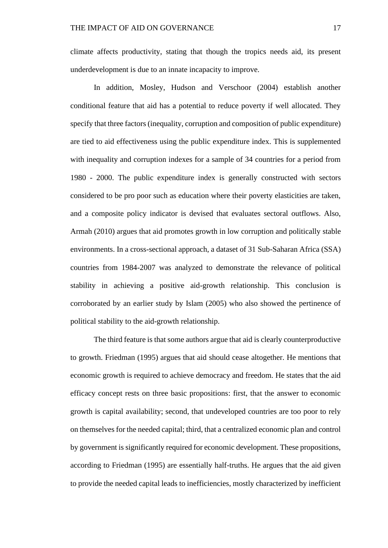climate affects productivity, stating that though the tropics needs aid, its present underdevelopment is due to an innate incapacity to improve.

In addition, Mosley, Hudson and Verschoor (2004) establish another conditional feature that aid has a potential to reduce poverty if well allocated. They specify that three factors (inequality, corruption and composition of public expenditure) are tied to aid effectiveness using the public expenditure index. This is supplemented with inequality and corruption indexes for a sample of 34 countries for a period from 1980 - 2000. The public expenditure index is generally constructed with sectors considered to be pro poor such as education where their poverty elasticities are taken, and a composite policy indicator is devised that evaluates sectoral outflows. Also, Armah (2010) argues that aid promotes growth in low corruption and politically stable environments. In a cross-sectional approach, a dataset of 31 Sub-Saharan Africa (SSA) countries from 1984-2007 was analyzed to demonstrate the relevance of political stability in achieving a positive aid-growth relationship. This conclusion is corroborated by an earlier study by Islam (2005) who also showed the pertinence of political stability to the aid-growth relationship.

The third feature is that some authors argue that aid is clearly counterproductive to growth. Friedman (1995) argues that aid should cease altogether. He mentions that economic growth is required to achieve democracy and freedom. He states that the aid efficacy concept rests on three basic propositions: first, that the answer to economic growth is capital availability; second, that undeveloped countries are too poor to rely on themselves for the needed capital; third, that a centralized economic plan and control by government is significantly required for economic development. These propositions, according to Friedman (1995) are essentially half-truths. He argues that the aid given to provide the needed capital leads to inefficiencies, mostly characterized by inefficient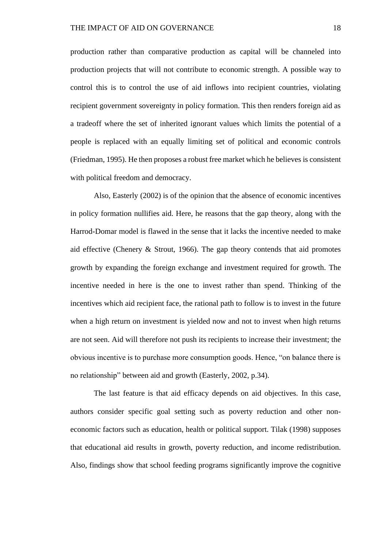production rather than comparative production as capital will be channeled into production projects that will not contribute to economic strength. A possible way to control this is to control the use of aid inflows into recipient countries, violating recipient government sovereignty in policy formation. This then renders foreign aid as a tradeoff where the set of inherited ignorant values which limits the potential of a people is replaced with an equally limiting set of political and economic controls (Friedman, 1995). He then proposes a robust free market which he believes is consistent with political freedom and democracy.

Also, Easterly (2002) is of the opinion that the absence of economic incentives in policy formation nullifies aid. Here, he reasons that the gap theory, along with the Harrod-Domar model is flawed in the sense that it lacks the incentive needed to make aid effective (Chenery & Strout, 1966). The gap theory contends that aid promotes growth by expanding the foreign exchange and investment required for growth. The incentive needed in here is the one to invest rather than spend. Thinking of the incentives which aid recipient face, the rational path to follow is to invest in the future when a high return on investment is yielded now and not to invest when high returns are not seen. Aid will therefore not push its recipients to increase their investment; the obvious incentive is to purchase more consumption goods. Hence, "on balance there is no relationship" between aid and growth (Easterly, 2002, p.34).

The last feature is that aid efficacy depends on aid objectives. In this case, authors consider specific goal setting such as poverty reduction and other noneconomic factors such as education, health or political support. Tilak (1998) supposes that educational aid results in growth, poverty reduction, and income redistribution. Also, findings show that school feeding programs significantly improve the cognitive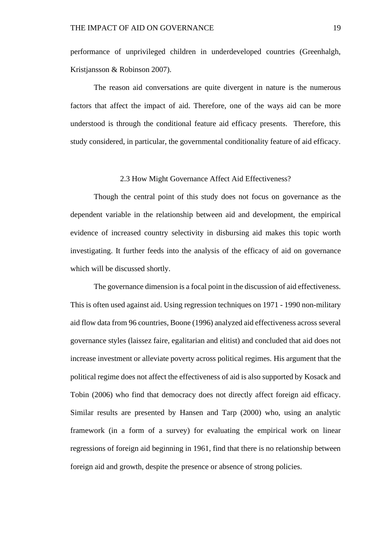performance of unprivileged children in underdeveloped countries (Greenhalgh, Kristjansson & Robinson 2007).

The reason aid conversations are quite divergent in nature is the numerous factors that affect the impact of aid. Therefore, one of the ways aid can be more understood is through the conditional feature aid efficacy presents. Therefore, this study considered, in particular, the governmental conditionality feature of aid efficacy.

### 2.3 How Might Governance Affect Aid Effectiveness?

<span id="page-26-0"></span>Though the central point of this study does not focus on governance as the dependent variable in the relationship between aid and development, the empirical evidence of increased country selectivity in disbursing aid makes this topic worth investigating. It further feeds into the analysis of the efficacy of aid on governance which will be discussed shortly.

The governance dimension is a focal point in the discussion of aid effectiveness. This is often used against aid. Using regression techniques on 1971 - 1990 non-military aid flow data from 96 countries, Boone (1996) analyzed aid effectiveness across several governance styles (laissez faire, egalitarian and elitist) and concluded that aid does not increase investment or alleviate poverty across political regimes. His argument that the political regime does not affect the effectiveness of aid is also supported by Kosack and Tobin (2006) who find that democracy does not directly affect foreign aid efficacy. Similar results are presented by Hansen and Tarp (2000) who, using an analytic framework (in a form of a survey) for evaluating the empirical work on linear regressions of foreign aid beginning in 1961, find that there is no relationship between foreign aid and growth, despite the presence or absence of strong policies.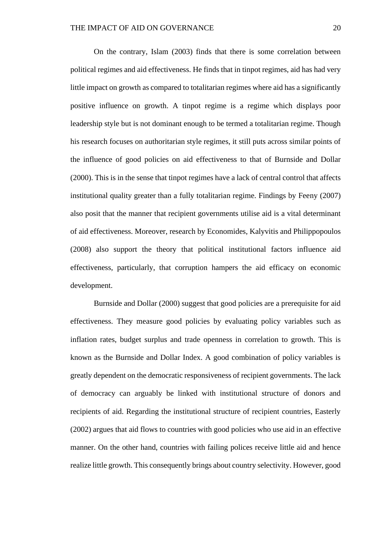On the contrary, Islam (2003) finds that there is some correlation between political regimes and aid effectiveness. He finds that in tinpot regimes, aid has had very little impact on growth as compared to totalitarian regimes where aid has a significantly positive influence on growth. A tinpot regime is a regime which displays poor leadership style but is not dominant enough to be termed a totalitarian regime. Though his research focuses on authoritarian style regimes, it still puts across similar points of the influence of good policies on aid effectiveness to that of Burnside and Dollar (2000). This is in the sense that tinpot regimes have a lack of central control that affects institutional quality greater than a fully totalitarian regime. Findings by Feeny (2007) also posit that the manner that recipient governments utilise aid is a vital determinant of aid effectiveness. Moreover, research by Economides, Kalyvitis and Philippopoulos (2008) also support the theory that political institutional factors influence aid effectiveness, particularly, that corruption hampers the aid efficacy on economic development.

Burnside and Dollar (2000) suggest that good policies are a prerequisite for aid effectiveness. They measure good policies by evaluating policy variables such as inflation rates, budget surplus and trade openness in correlation to growth. This is known as the Burnside and Dollar Index. A good combination of policy variables is greatly dependent on the democratic responsiveness of recipient governments. The lack of democracy can arguably be linked with institutional structure of donors and recipients of aid. Regarding the institutional structure of recipient countries, Easterly (2002) argues that aid flows to countries with good policies who use aid in an effective manner. On the other hand, countries with failing polices receive little aid and hence realize little growth. This consequently brings about country selectivity. However, good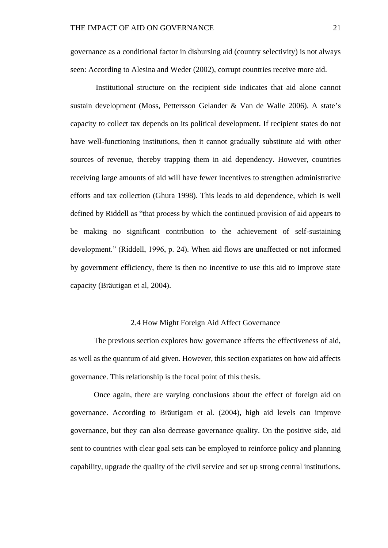governance as a conditional factor in disbursing aid (country selectivity) is not always seen: According to Alesina and Weder (2002), corrupt countries receive more aid.

Institutional structure on the recipient side indicates that aid alone cannot sustain development (Moss, Pettersson Gelander & Van de Walle 2006). A state's capacity to collect tax depends on its political development. If recipient states do not have well-functioning institutions, then it cannot gradually substitute aid with other sources of revenue, thereby trapping them in aid dependency. However, countries receiving large amounts of aid will have fewer incentives to strengthen administrative efforts and tax collection (Ghura 1998). This leads to aid dependence, which is well defined by Riddell as "that process by which the continued provision of aid appears to be making no significant contribution to the achievement of self-sustaining development." (Riddell, 1996, p. 24). When aid flows are unaffected or not informed by government efficiency, there is then no incentive to use this aid to improve state capacity (Bräutigan et al, 2004).

#### 2.4 How Might Foreign Aid Affect Governance

<span id="page-28-0"></span>The previous section explores how governance affects the effectiveness of aid, as well as the quantum of aid given. However, this section expatiates on how aid affects governance. This relationship is the focal point of this thesis.

Once again, there are varying conclusions about the effect of foreign aid on governance. According to Bräutigam et al*.* (2004), high aid levels can improve governance, but they can also decrease governance quality. On the positive side, aid sent to countries with clear goal sets can be employed to reinforce policy and planning capability, upgrade the quality of the civil service and set up strong central institutions.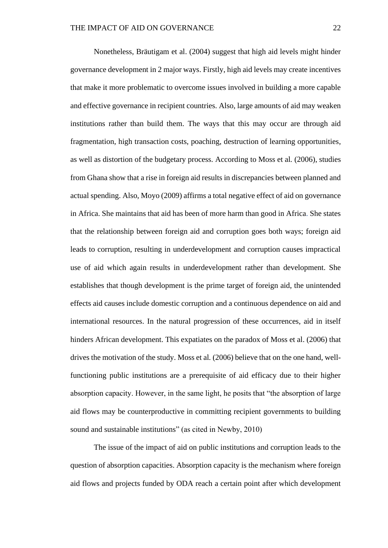Nonetheless, Bräutigam et al. (2004) suggest that high aid levels might hinder governance development in 2 major ways. Firstly, high aid levels may create incentives that make it more problematic to overcome issues involved in building a more capable and effective governance in recipient countries. Also, large amounts of aid may weaken institutions rather than build them. The ways that this may occur are through aid fragmentation, high transaction costs, poaching, destruction of learning opportunities, as well as distortion of the budgetary process. According to Moss et al*.* (2006), studies from Ghana show that a rise in foreign aid results in discrepancies between planned and actual spending. Also, Moyo (2009) affirms a total negative effect of aid on governance in Africa. She maintains that aid has been of more harm than good in Africa. She states that the relationship between foreign aid and corruption goes both ways; foreign aid leads to corruption, resulting in underdevelopment and corruption causes impractical use of aid which again results in underdevelopment rather than development. She establishes that though development is the prime target of foreign aid, the unintended effects aid causes include domestic corruption and a continuous dependence on aid and international resources. In the natural progression of these occurrences, aid in itself hinders African development. This expatiates on the paradox of Moss et al. (2006) that drives the motivation of the study. Moss et al*.* (2006) believe that on the one hand, wellfunctioning public institutions are a prerequisite of aid efficacy due to their higher absorption capacity. However, in the same light, he posits that "the absorption of large aid flows may be counterproductive in committing recipient governments to building sound and sustainable institutions" (as cited in Newby, 2010)

The issue of the impact of aid on public institutions and corruption leads to the question of absorption capacities. Absorption capacity is the mechanism where foreign aid flows and projects funded by ODA reach a certain point after which development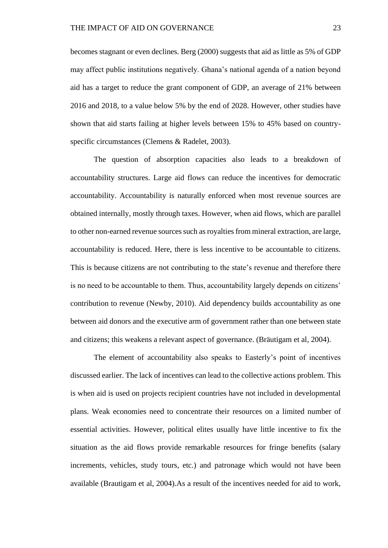becomes stagnant or even declines. Berg (2000) suggests that aid as little as 5% of GDP may affect public institutions negatively. Ghana's national agenda of a nation beyond aid has a target to reduce the grant component of GDP, an average of 21% between 2016 and 2018, to a value below 5% by the end of 2028. However, other studies have shown that aid starts failing at higher levels between 15% to 45% based on countryspecific circumstances (Clemens & Radelet, 2003).

The question of absorption capacities also leads to a breakdown of accountability structures. Large aid flows can reduce the incentives for democratic accountability. Accountability is naturally enforced when most revenue sources are obtained internally, mostly through taxes. However, when aid flows, which are parallel to other non-earned revenue sources such as royalties from mineral extraction, are large, accountability is reduced. Here, there is less incentive to be accountable to citizens. This is because citizens are not contributing to the state's revenue and therefore there is no need to be accountable to them. Thus, accountability largely depends on citizens' contribution to revenue (Newby, 2010). Aid dependency builds accountability as one between aid donors and the executive arm of government rather than one between state and citizens; this weakens a relevant aspect of governance. (Bräutigam et al, 2004).

The element of accountability also speaks to Easterly's point of incentives discussed earlier. The lack of incentives can lead to the collective actions problem. This is when aid is used on projects recipient countries have not included in developmental plans. Weak economies need to concentrate their resources on a limited number of essential activities. However, political elites usually have little incentive to fix the situation as the aid flows provide remarkable resources for fringe benefits (salary increments, vehicles, study tours, etc.) and patronage which would not have been available (Brautigam et al, 2004).As a result of the incentives needed for aid to work,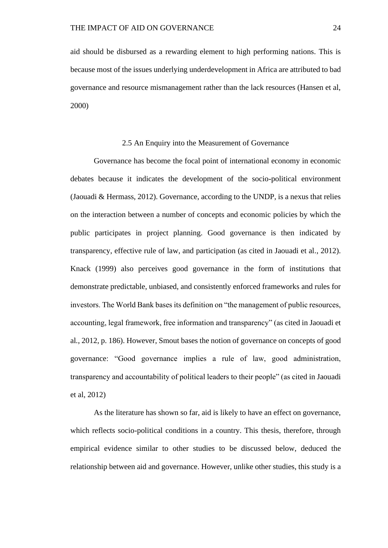aid should be disbursed as a rewarding element to high performing nations. This is because most of the issues underlying underdevelopment in Africa are attributed to bad governance and resource mismanagement rather than the lack resources (Hansen et al, 2000)

#### 2.5 An Enquiry into the Measurement of Governance

<span id="page-31-0"></span>Governance has become the focal point of international economy in economic debates because it indicates the development of the socio-political environment (Jaouadi & Hermass, 2012). Governance, according to the UNDP, is a nexus that relies on the interaction between a number of concepts and economic policies by which the public participates in project planning. Good governance is then indicated by transparency, effective rule of law, and participation (as cited in Jaouadi et al*.*, 2012). Knack (1999) also perceives good governance in the form of institutions that demonstrate predictable, unbiased, and consistently enforced frameworks and rules for investors. The World Bank bases its definition on "the management of public resources, accounting, legal framework, free information and transparency" (as cited in Jaouadi et al*.*, 2012, p. 186). However, Smout bases the notion of governance on concepts of good governance: "Good governance implies a rule of law, good administration, transparency and accountability of political leaders to their people" (as cited in Jaouadi et al, 2012)

As the literature has shown so far, aid is likely to have an effect on governance, which reflects socio-political conditions in a country. This thesis, therefore, through empirical evidence similar to other studies to be discussed below, deduced the relationship between aid and governance. However, unlike other studies, this study is a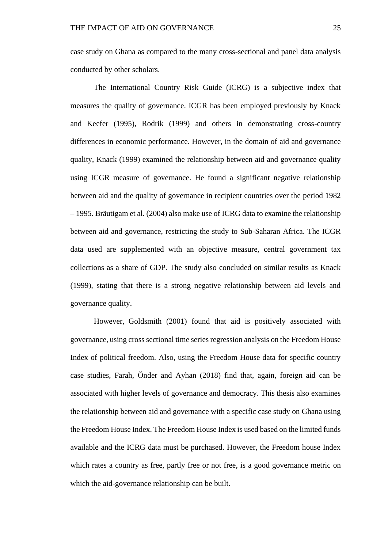case study on Ghana as compared to the many cross-sectional and panel data analysis conducted by other scholars.

The International Country Risk Guide (ICRG) is a subjective index that measures the quality of governance. ICGR has been employed previously by Knack and Keefer (1995), Rodrik (1999) and others in demonstrating cross-country differences in economic performance. However, in the domain of aid and governance quality, Knack (1999) examined the relationship between aid and governance quality using ICGR measure of governance. He found a significant negative relationship between aid and the quality of governance in recipient countries over the period 1982 – 1995. Bräutigam et al*.* (2004) also make use of ICRG data to examine the relationship between aid and governance, restricting the study to Sub-Saharan Africa. The ICGR data used are supplemented with an objective measure, central government tax collections as a share of GDP. The study also concluded on similar results as Knack (1999), stating that there is a strong negative relationship between aid levels and governance quality.

However, Goldsmith (2001) found that aid is positively associated with governance, using cross sectional time series regression analysis on the Freedom House Index of political freedom. Also, using the Freedom House data for specific country case studies, Farah, Önder and Ayhan (2018) find that, again, foreign aid can be associated with higher levels of governance and democracy. This thesis also examines the relationship between aid and governance with a specific case study on Ghana using the Freedom House Index. The Freedom House Index is used based on the limited funds available and the ICRG data must be purchased. However, the Freedom house Index which rates a country as free, partly free or not free, is a good governance metric on which the aid-governance relationship can be built.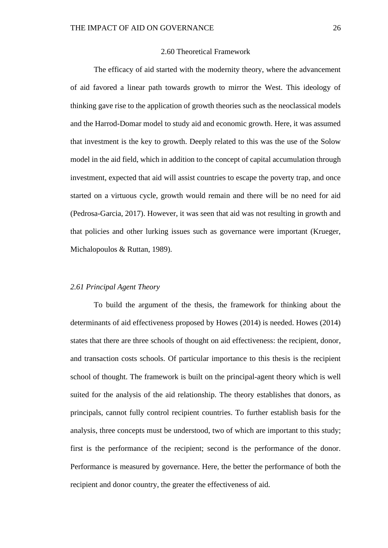### 2.60 Theoretical Framework

<span id="page-33-0"></span>The efficacy of aid started with the modernity theory, where the advancement of aid favored a linear path towards growth to mirror the West. This ideology of thinking gave rise to the application of growth theories such as the neoclassical models and the Harrod-Domar model to study aid and economic growth. Here, it was assumed that investment is the key to growth. Deeply related to this was the use of the Solow model in the aid field, which in addition to the concept of capital accumulation through investment, expected that aid will assist countries to escape the poverty trap, and once started on a virtuous cycle, growth would remain and there will be no need for aid (Pedrosa-Garcia, 2017). However, it was seen that aid was not resulting in growth and that policies and other lurking issues such as governance were important (Krueger, Michalopoulos & Ruttan, 1989).

#### <span id="page-33-1"></span>*2.61 Principal Agent Theory*

To build the argument of the thesis, the framework for thinking about the determinants of aid effectiveness proposed by Howes (2014) is needed. Howes (2014) states that there are three schools of thought on aid effectiveness: the recipient, donor, and transaction costs schools. Of particular importance to this thesis is the recipient school of thought. The framework is built on the principal-agent theory which is well suited for the analysis of the aid relationship. The theory establishes that donors, as principals, cannot fully control recipient countries. To further establish basis for the analysis, three concepts must be understood, two of which are important to this study; first is the performance of the recipient; second is the performance of the donor. Performance is measured by governance. Here, the better the performance of both the recipient and donor country, the greater the effectiveness of aid.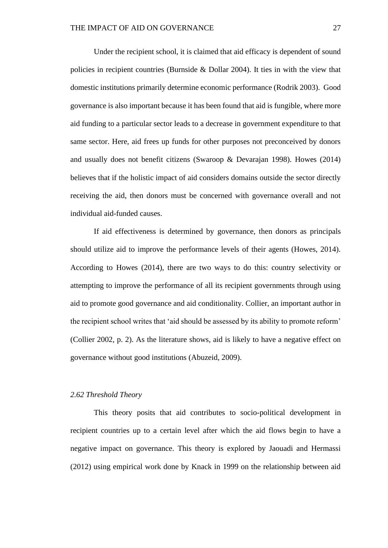Under the recipient school, it is claimed that aid efficacy is dependent of sound policies in recipient countries (Burnside & Dollar 2004). It ties in with the view that domestic institutions primarily determine economic performance (Rodrik 2003). Good governance is also important because it has been found that aid is fungible, where more aid funding to a particular sector leads to a decrease in government expenditure to that same sector. Here, aid frees up funds for other purposes not preconceived by donors and usually does not benefit citizens (Swaroop & Devarajan 1998). Howes (2014) believes that if the holistic impact of aid considers domains outside the sector directly receiving the aid, then donors must be concerned with governance overall and not individual aid-funded causes.

If aid effectiveness is determined by governance, then donors as principals should utilize aid to improve the performance levels of their agents (Howes, 2014). According to Howes (2014), there are two ways to do this: country selectivity or attempting to improve the performance of all its recipient governments through using aid to promote good governance and aid conditionality. Collier, an important author in the recipient school writes that 'aid should be assessed by its ability to promote reform' (Collier 2002, p. 2). As the literature shows, aid is likely to have a negative effect on governance without good institutions (Abuzeid, 2009).

### <span id="page-34-0"></span>*2.62 Threshold Theory*

This theory posits that aid contributes to socio-political development in recipient countries up to a certain level after which the aid flows begin to have a negative impact on governance. This theory is explored by Jaouadi and Hermassi (2012) using empirical work done by Knack in 1999 on the relationship between aid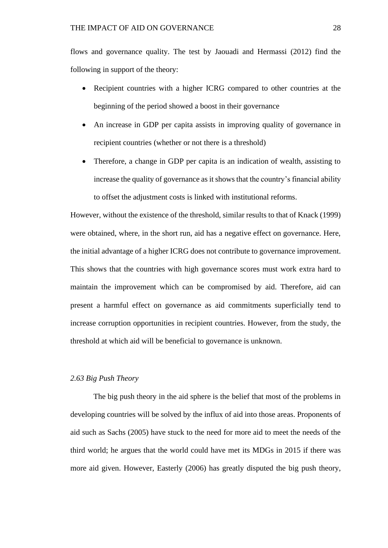flows and governance quality. The test by Jaouadi and Hermassi (2012) find the following in support of the theory:

- Recipient countries with a higher ICRG compared to other countries at the beginning of the period showed a boost in their governance
- An increase in GDP per capita assists in improving quality of governance in recipient countries (whether or not there is a threshold)
- Therefore, a change in GDP per capita is an indication of wealth, assisting to increase the quality of governance as it shows that the country's financial ability to offset the adjustment costs is linked with institutional reforms.

However, without the existence of the threshold, similar results to that of Knack (1999) were obtained, where, in the short run, aid has a negative effect on governance. Here, the initial advantage of a higher ICRG does not contribute to governance improvement. This shows that the countries with high governance scores must work extra hard to maintain the improvement which can be compromised by aid. Therefore, aid can present a harmful effect on governance as aid commitments superficially tend to increase corruption opportunities in recipient countries. However, from the study, the threshold at which aid will be beneficial to governance is unknown.

### <span id="page-35-0"></span>*2.63 Big Push Theory*

The big push theory in the aid sphere is the belief that most of the problems in developing countries will be solved by the influx of aid into those areas. Proponents of aid such as Sachs (2005) have stuck to the need for more aid to meet the needs of the third world; he argues that the world could have met its MDGs in 2015 if there was more aid given. However, Easterly (2006) has greatly disputed the big push theory,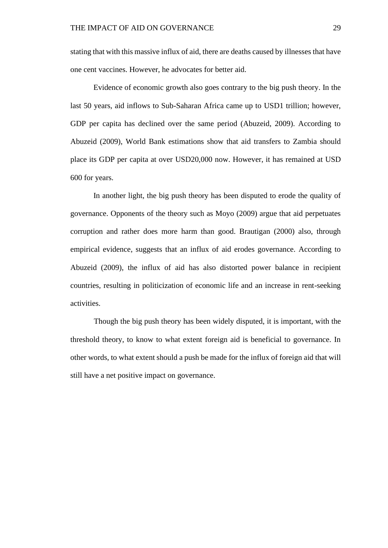stating that with this massive influx of aid, there are deaths caused by illnesses that have one cent vaccines. However, he advocates for better aid.

Evidence of economic growth also goes contrary to the big push theory. In the last 50 years, aid inflows to Sub-Saharan Africa came up to USD1 trillion; however, GDP per capita has declined over the same period (Abuzeid, 2009). According to Abuzeid (2009), World Bank estimations show that aid transfers to Zambia should place its GDP per capita at over USD20,000 now. However, it has remained at USD 600 for years.

In another light, the big push theory has been disputed to erode the quality of governance. Opponents of the theory such as Moyo (2009) argue that aid perpetuates corruption and rather does more harm than good. Brautigan (2000) also, through empirical evidence, suggests that an influx of aid erodes governance. According to Abuzeid (2009), the influx of aid has also distorted power balance in recipient countries, resulting in politicization of economic life and an increase in rent-seeking activities.

Though the big push theory has been widely disputed, it is important, with the threshold theory, to know to what extent foreign aid is beneficial to governance. In other words, to what extent should a push be made for the influx of foreign aid that will still have a net positive impact on governance.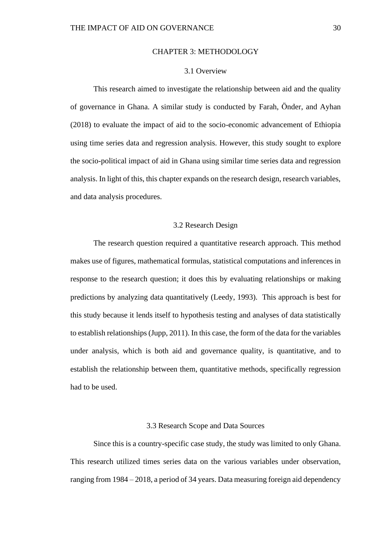### CHAPTER 3: METHODOLOGY

### 3.1 Overview

<span id="page-37-1"></span><span id="page-37-0"></span>This research aimed to investigate the relationship between aid and the quality of governance in Ghana. A similar study is conducted by Farah, Önder, and Ayhan (2018) to evaluate the impact of aid to the socio-economic advancement of Ethiopia using time series data and regression analysis. However, this study sought to explore the socio-political impact of aid in Ghana using similar time series data and regression analysis. In light of this, this chapter expands on the research design, research variables, and data analysis procedures.

### 3.2 Research Design

<span id="page-37-2"></span>The research question required a quantitative research approach. This method makes use of figures, mathematical formulas, statistical computations and inferences in response to the research question; it does this by evaluating relationships or making predictions by analyzing data quantitatively (Leedy, 1993). This approach is best for this study because it lends itself to hypothesis testing and analyses of data statistically to establish relationships (Jupp, 2011). In this case, the form of the data for the variables under analysis, which is both aid and governance quality, is quantitative, and to establish the relationship between them, quantitative methods, specifically regression had to be used.

### 3.3 Research Scope and Data Sources

<span id="page-37-3"></span>Since this is a country-specific case study, the study was limited to only Ghana. This research utilized times series data on the various variables under observation, ranging from 1984 – 2018, a period of 34 years. Data measuring foreign aid dependency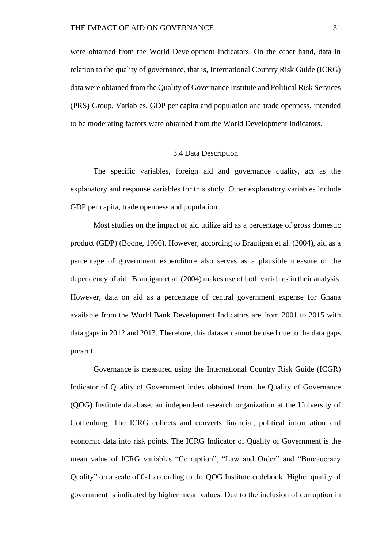were obtained from the World Development Indicators. On the other hand, data in relation to the quality of governance, that is, International Country Risk Guide (ICRG) data were obtained from the Quality of Governance Institute and Political Risk Services (PRS) Group. Variables, GDP per capita and population and trade openness, intended to be moderating factors were obtained from the World Development Indicators.

### 3.4 Data Description

<span id="page-38-0"></span>The specific variables, foreign aid and governance quality, act as the explanatory and response variables for this study. Other explanatory variables include GDP per capita, trade openness and population.

Most studies on the impact of aid utilize aid as a percentage of gross domestic product (GDP) (Boone, 1996). However, according to Brautigan et al*.* (2004), aid as a percentage of government expenditure also serves as a plausible measure of the dependency of aid. Brautigan et al*.* (2004) makes use of both variables in their analysis. However, data on aid as a percentage of central government expense for Ghana available from the World Bank Development Indicators are from 2001 to 2015 with data gaps in 2012 and 2013. Therefore, this dataset cannot be used due to the data gaps present.

Governance is measured using the International Country Risk Guide (ICGR) Indicator of Quality of Government index obtained from the Quality of Governance (QOG) Institute database, an independent research organization at the University of Gothenburg. The ICRG collects and converts financial, political information and economic data into risk points. The ICRG Indicator of Quality of Government is the mean value of ICRG variables "Corruption", "Law and Order" and "Bureaucracy Quality" on a scale of 0-1 according to the QOG Institute codebook. Higher quality of government is indicated by higher mean values. Due to the inclusion of corruption in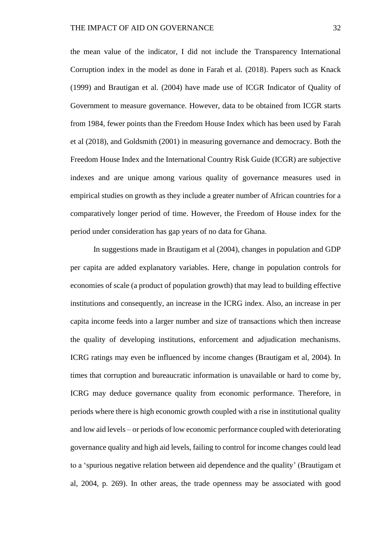the mean value of the indicator, I did not include the Transparency International Corruption index in the model as done in Farah et al*.* (2018). Papers such as Knack (1999) and Brautigan et al. (2004) have made use of ICGR Indicator of Quality of Government to measure governance. However, data to be obtained from ICGR starts from 1984, fewer points than the Freedom House Index which has been used by Farah et al (2018), and Goldsmith (2001) in measuring governance and democracy. Both the Freedom House Index and the International Country Risk Guide (ICGR) are subjective indexes and are unique among various quality of governance measures used in empirical studies on growth as they include a greater number of African countries for a comparatively longer period of time. However, the Freedom of House index for the period under consideration has gap years of no data for Ghana.

In suggestions made in Brautigam et al (2004), changes in population and GDP per capita are added explanatory variables. Here, change in population controls for economies of scale (a product of population growth) that may lead to building effective institutions and consequently, an increase in the ICRG index. Also, an increase in per capita income feeds into a larger number and size of transactions which then increase the quality of developing institutions, enforcement and adjudication mechanisms. ICRG ratings may even be influenced by income changes (Brautigam et al, 2004). In times that corruption and bureaucratic information is unavailable or hard to come by, ICRG may deduce governance quality from economic performance. Therefore, in periods where there is high economic growth coupled with a rise in institutional quality and low aid levels – or periods of low economic performance coupled with deteriorating governance quality and high aid levels, failing to control for income changes could lead to a 'spurious negative relation between aid dependence and the quality' (Brautigam et al, 2004, p. 269). In other areas, the trade openness may be associated with good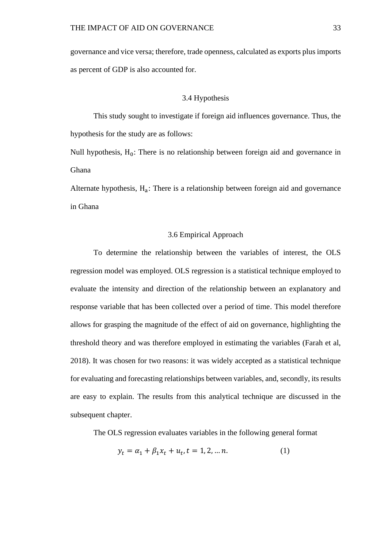governance and vice versa; therefore, trade openness, calculated as exports plus imports as percent of GDP is also accounted for.

### 3.4 Hypothesis

<span id="page-40-0"></span>This study sought to investigate if foreign aid influences governance. Thus, the hypothesis for the study are as follows:

Null hypothesis,  $H_0$ : There is no relationship between foreign aid and governance in Ghana

Alternate hypothesis, H<sub>a</sub>: There is a relationship between foreign aid and governance in Ghana

### 3.6 Empirical Approach

<span id="page-40-1"></span>To determine the relationship between the variables of interest, the OLS regression model was employed. OLS regression is a statistical technique employed to evaluate the intensity and direction of the relationship between an explanatory and response variable that has been collected over a period of time. This model therefore allows for grasping the magnitude of the effect of aid on governance, highlighting the threshold theory and was therefore employed in estimating the variables (Farah et al, 2018). It was chosen for two reasons: it was widely accepted as a statistical technique for evaluating and forecasting relationships between variables, and, secondly, its results are easy to explain. The results from this analytical technique are discussed in the subsequent chapter.

The OLS regression evaluates variables in the following general format

$$
y_t = \alpha_1 + \beta_1 x_t + u_t, t = 1, 2, \dots n. \tag{1}
$$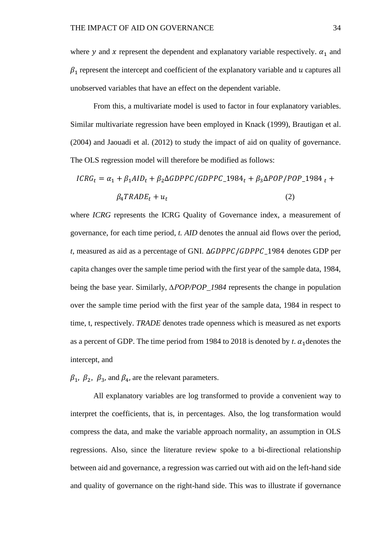where y and x represent the dependent and explanatory variable respectively.  $\alpha_1$  and  $\beta_1$  represent the intercept and coefficient of the explanatory variable and  $u$  captures all unobserved variables that have an effect on the dependent variable.

From this, a multivariate model is used to factor in four explanatory variables. Similar multivariate regression have been employed in Knack (1999), Brautigan et al. (2004) and Jaouadi et al. (2012) to study the impact of aid on quality of governance. The OLS regression model will therefore be modified as follows:

$$
ICRGt = \alpha_1 + \beta_1 AIDt + \beta_2 \Delta GDPPC/GDPPC_1984t + \beta_3 \Delta POP/POP_1984t + \beta_4 TRADEt + ut
$$
\n(2)

where *ICRG* represents the ICRG Quality of Governance index, a measurement of governance, for each time period, *t. AID* denotes the annual aid flows over the period, *t*, measured as aid as a percentage of GNI.  $\Delta GDPPC/GDPPC$ \_1984 denotes GDP per capita changes over the sample time period with the first year of the sample data, 1984, being the base year. Similarly, *∆POP/POP\_1984* represents the change in population over the sample time period with the first year of the sample data, 1984 in respect to time, t, respectively. *TRADE* denotes trade openness which is measured as net exports as a percent of GDP. The time period from 1984 to 2018 is denoted by *t*.  $\alpha_1$  denotes the intercept, and

 $\beta_1$ ,  $\beta_2$ ,  $\beta_3$ , and  $\beta_4$ , are the relevant parameters.

All explanatory variables are log transformed to provide a convenient way to interpret the coefficients, that is, in percentages. Also, the log transformation would compress the data, and make the variable approach normality, an assumption in OLS regressions. Also, since the literature review spoke to a bi-directional relationship between aid and governance, a regression was carried out with aid on the left-hand side and quality of governance on the right-hand side. This was to illustrate if governance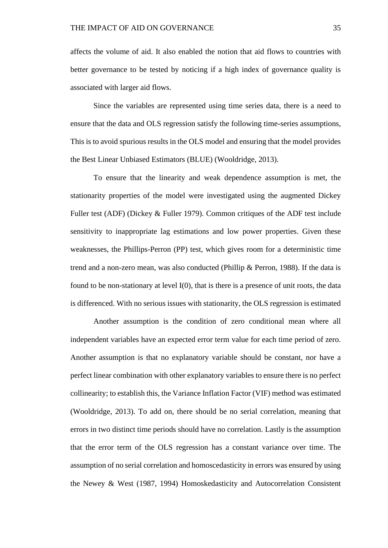affects the volume of aid. It also enabled the notion that aid flows to countries with better governance to be tested by noticing if a high index of governance quality is associated with larger aid flows.

Since the variables are represented using time series data, there is a need to ensure that the data and OLS regression satisfy the following time-series assumptions, This is to avoid spurious results in the OLS model and ensuring that the model provides the Best Linear Unbiased Estimators (BLUE) (Wooldridge, 2013).

To ensure that the linearity and weak dependence assumption is met, the stationarity properties of the model were investigated using the augmented Dickey Fuller test (ADF) (Dickey & Fuller 1979). Common critiques of the ADF test include sensitivity to inappropriate lag estimations and low power properties. Given these weaknesses, the Phillips-Perron (PP) test, which gives room for a deterministic time trend and a non-zero mean, was also conducted (Phillip & Perron, 1988). If the data is found to be non-stationary at level I(0), that is there is a presence of unit roots, the data is differenced. With no serious issues with stationarity, the OLS regression is estimated

Another assumption is the condition of zero conditional mean where all independent variables have an expected error term value for each time period of zero. Another assumption is that no explanatory variable should be constant, nor have a perfect linear combination with other explanatory variables to ensure there is no perfect collinearity; to establish this, the Variance Inflation Factor (VIF) method was estimated (Wooldridge, 2013). To add on, there should be no serial correlation, meaning that errors in two distinct time periods should have no correlation. Lastly is the assumption that the error term of the OLS regression has a constant variance over time. The assumption of no serial correlation and homoscedasticity in errors was ensured by using the Newey & West (1987, 1994) Homoskedasticity and Autocorrelation Consistent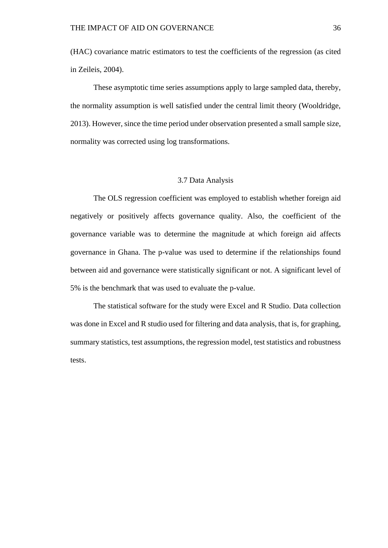(HAC) covariance matric estimators to test the coefficients of the regression (as cited in Zeileis, 2004).

These asymptotic time series assumptions apply to large sampled data, thereby, the normality assumption is well satisfied under the central limit theory (Wooldridge, 2013). However, since the time period under observation presented a small sample size, normality was corrected using log transformations.

### 3.7 Data Analysis

<span id="page-43-0"></span>The OLS regression coefficient was employed to establish whether foreign aid negatively or positively affects governance quality. Also, the coefficient of the governance variable was to determine the magnitude at which foreign aid affects governance in Ghana. The p-value was used to determine if the relationships found between aid and governance were statistically significant or not. A significant level of 5% is the benchmark that was used to evaluate the p-value.

The statistical software for the study were Excel and R Studio. Data collection was done in Excel and R studio used for filtering and data analysis, that is, for graphing, summary statistics, test assumptions, the regression model, test statistics and robustness tests.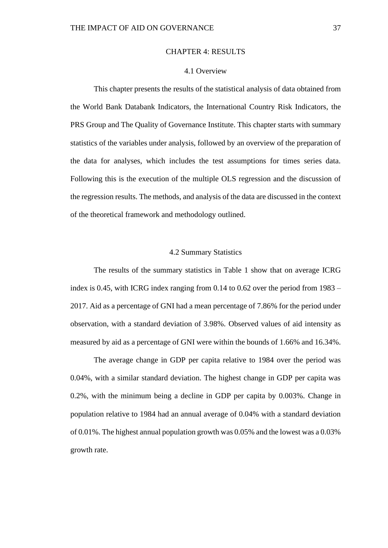#### CHAPTER 4: RESULTS

### 4.1 Overview

<span id="page-44-1"></span><span id="page-44-0"></span>This chapter presents the results of the statistical analysis of data obtained from the World Bank Databank Indicators, the International Country Risk Indicators, the PRS Group and The Quality of Governance Institute. This chapter starts with summary statistics of the variables under analysis, followed by an overview of the preparation of the data for analyses, which includes the test assumptions for times series data. Following this is the execution of the multiple OLS regression and the discussion of the regression results. The methods, and analysis of the data are discussed in the context of the theoretical framework and methodology outlined.

### 4.2 Summary Statistics

<span id="page-44-2"></span>The results of the summary statistics in Table 1 show that on average ICRG index is 0.45, with ICRG index ranging from 0.14 to 0.62 over the period from 1983 – 2017. Aid as a percentage of GNI had a mean percentage of 7.86% for the period under observation, with a standard deviation of 3.98%. Observed values of aid intensity as measured by aid as a percentage of GNI were within the bounds of 1.66% and 16.34%.

The average change in GDP per capita relative to 1984 over the period was 0.04%, with a similar standard deviation. The highest change in GDP per capita was 0.2%, with the minimum being a decline in GDP per capita by 0.003%. Change in population relative to 1984 had an annual average of 0.04% with a standard deviation of 0.01%. The highest annual population growth was 0.05% and the lowest was a 0.03% growth rate.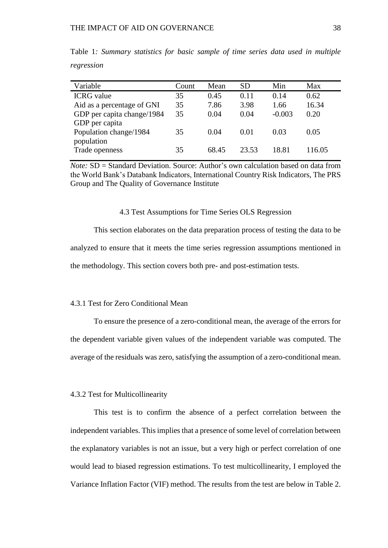| Variable                   | Count | Mean  | <b>SD</b> | Min      | Max    |
|----------------------------|-------|-------|-----------|----------|--------|
| <b>ICRG</b> value          | 35    | 0.45  | 0.11      | 0.14     | 0.62   |
| Aid as a percentage of GNI | 35    | 7.86  | 3.98      | 1.66     | 16.34  |
| GDP per capita change/1984 | 35    | 0.04  | 0.04      | $-0.003$ | 0.20   |
| GDP per capita             |       |       |           |          |        |
| Population change/1984     | 35    | 0.04  | 0.01      | 0.03     | 0.05   |
| population                 |       |       |           |          |        |
| Trade openness             | 35    | 68.45 | 23.53     | 18.81    | 116.05 |

<span id="page-45-3"></span>Table 1*: Summary statistics for basic sample of time series data used in multiple regression*

*Note:* SD = Standard Deviation. Source: Author's own calculation based on data from the World Bank's Databank Indicators, International Country Risk Indicators, The PRS Group and The Quality of Governance Institute

#### 4.3 Test Assumptions for Time Series OLS Regression

<span id="page-45-0"></span>This section elaborates on the data preparation process of testing the data to be analyzed to ensure that it meets the time series regression assumptions mentioned in the methodology. This section covers both pre- and post-estimation tests.

### <span id="page-45-1"></span>4.3.1 Test for Zero Conditional Mean

To ensure the presence of a zero-conditional mean, the average of the errors for the dependent variable given values of the independent variable was computed. The average of the residuals was zero, satisfying the assumption of a zero-conditional mean.

### <span id="page-45-2"></span>4.3.2 Test for Multicollinearity

This test is to confirm the absence of a perfect correlation between the independent variables. This implies that a presence of some level of correlation between the explanatory variables is not an issue, but a very high or perfect correlation of one would lead to biased regression estimations. To test multicollinearity, I employed the Variance Inflation Factor (VIF) method. The results from the test are below in Table 2.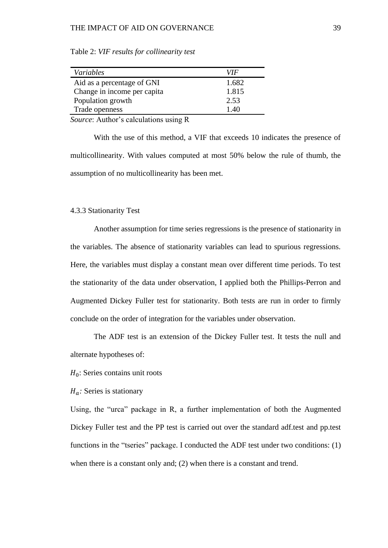### THE IMPACT OF AID ON GOVERNANCE 39

| Variables                   | VIF   |
|-----------------------------|-------|
| Aid as a percentage of GNI  | 1.682 |
| Change in income per capita | 1.815 |
| Population growth           | 2.53  |
| Trade openness              | 140   |

<span id="page-46-1"></span>Table 2: *VIF results for collinearity test*

*Source*: Author's calculations using R

With the use of this method, a VIF that exceeds 10 indicates the presence of multicollinearity. With values computed at most 50% below the rule of thumb, the assumption of no multicollinearity has been met.

#### <span id="page-46-0"></span>4.3.3 Stationarity Test

Another assumption for time series regressions is the presence of stationarity in the variables. The absence of stationarity variables can lead to spurious regressions. Here, the variables must display a constant mean over different time periods. To test the stationarity of the data under observation, I applied both the Phillips-Perron and Augmented Dickey Fuller test for stationarity. Both tests are run in order to firmly conclude on the order of integration for the variables under observation.

The ADF test is an extension of the Dickey Fuller test. It tests the null and alternate hypotheses of:

 $H_0$ : Series contains unit roots

 $H_a$ : Series is stationary

Using, the "urca" package in R, a further implementation of both the Augmented Dickey Fuller test and the PP test is carried out over the standard adf.test and pp.test functions in the "tseries" package. I conducted the ADF test under two conditions: (1) when there is a constant only and; (2) when there is a constant and trend.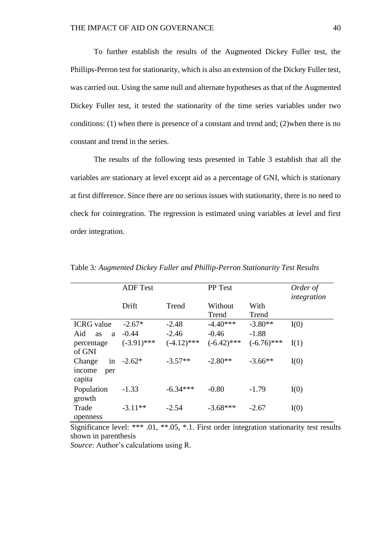To further establish the results of the Augmented Dickey Fuller test, the Phillips-Perron test for stationarity, which is also an extension of the Dickey Fuller test, was carried out. Using the same null and alternate hypotheses as that of the Augmented Dickey Fuller test, it tested the stationarity of the time series variables under two conditions: (1) when there is presence of a constant and trend and; (2)when there is no constant and trend in the series.

The results of the following tests presented in Table 3 establish that all the variables are stationary at level except aid as a percentage of GNI, which is stationary at first difference. Since there are no serious issues with stationarity, there is no need to check for cointegration. The regression is estimated using variables at level and first order integration.

|                       | <b>ADF</b> Test |               | PP Test       |               | Order of<br>integration |
|-----------------------|-----------------|---------------|---------------|---------------|-------------------------|
|                       | Drift           | Trend         | Without       | With          |                         |
|                       |                 |               | Trend         | Trend         |                         |
| <b>ICRG</b> value     | $-2.67*$        | $-2.48$       | $-4.40***$    | $-3.80**$     | I(0)                    |
| Aid<br><b>as</b><br>a | $-0.44$         | $-2.46$       | $-0.46$       | $-1.88$       |                         |
| percentage            | $(-3.91)$ ***   | $(-4.12)$ *** | $(-6.42)$ *** | $(-6.76)$ *** | I(1)                    |
| of GNI                |                 |               |               |               |                         |
| in<br>Change          | $-2.62*$        | $-3.57**$     | $-2.80**$     | $-3.66**$     | I(0)                    |
| income<br>per         |                 |               |               |               |                         |
| capita                |                 |               |               |               |                         |
| Population            | $-1.33$         | $-6.34***$    | $-0.80$       | $-1.79$       | I(0)                    |
| growth                |                 |               |               |               |                         |
| Trade                 | $-3.11**$       | $-2.54$       | $-3.68***$    | $-2.67$       | I(0)                    |
| openness              |                 |               |               |               |                         |

<span id="page-47-0"></span>Table 3*: Augmented Dickey Fuller and Phillip-Perron Stationarity Test Results*

Significance level: \*\*\* .01, \*\*.05, \*.1. First order integration stationarity test results shown in parenthesis

*Source*: Author's calculations using R.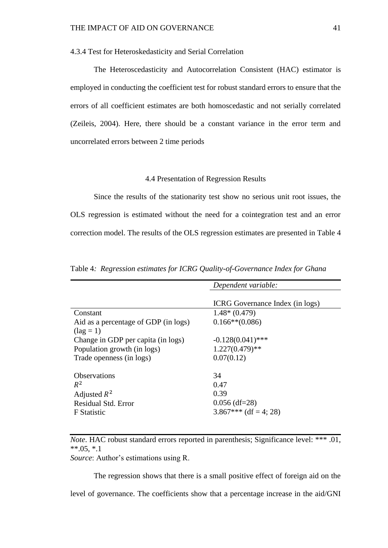<span id="page-48-0"></span>4.3.4 Test for Heteroskedasticity and Serial Correlation

The Heteroscedasticity and Autocorrelation Consistent (HAC) estimator is employed in conducting the coefficient test for robust standard errors to ensure that the errors of all coefficient estimates are both homoscedastic and not serially correlated (Zeileis, 2004). Here, there should be a constant variance in the error term and uncorrelated errors between 2 time periods

### 4.4 Presentation of Regression Results

<span id="page-48-1"></span>Since the results of the stationarity test show no serious unit root issues, the OLS regression is estimated without the need for a cointegration test and an error correction model. The results of the OLS regression estimates are presented in Table 4

|                                      | Dependent variable:                    |
|--------------------------------------|----------------------------------------|
|                                      |                                        |
|                                      | <b>ICRG</b> Governance Index (in logs) |
| Constant                             | $1.48*(0.479)$                         |
| Aid as a percentage of GDP (in logs) | $0.166**$ (0.086)                      |
| $(\text{lag} = 1)$                   |                                        |
| Change in GDP per capita (in logs)   | $-0.128(0.041)$ ***                    |
| Population growth (in logs)          | $1.227(0.479)$ **                      |
| Trade openness (in logs)             | 0.07(0.12)                             |
|                                      |                                        |
| <b>Observations</b>                  | 34                                     |
| $R^2$                                | 0.47                                   |
| Adjusted $R^2$                       | 0.39                                   |
| <b>Residual Std. Error</b>           | $0.056$ (df=28)                        |
| F Statistic                          | $3.867***$ (df = 4; 28)                |
|                                      |                                        |

<span id="page-48-2"></span>Table 4*: Regression estimates for ICRG Quality-of-Governance Index for Ghana*

*Note*. HAC robust standard errors reported in parenthesis; Significance level: \*\*\* .01,  $*$  $.05, *1$ 

*Source*: Author's estimations using R.

The regression shows that there is a small positive effect of foreign aid on the level of governance. The coefficients show that a percentage increase in the aid/GNI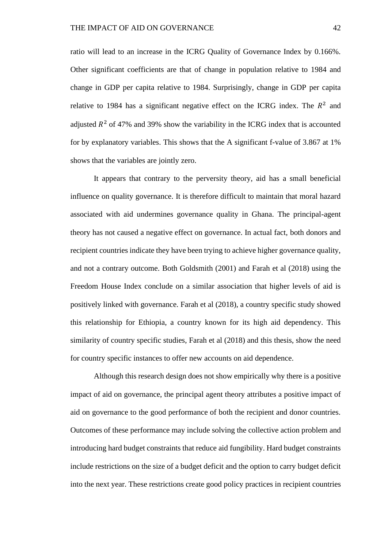ratio will lead to an increase in the ICRG Quality of Governance Index by 0.166%. Other significant coefficients are that of change in population relative to 1984 and change in GDP per capita relative to 1984. Surprisingly, change in GDP per capita relative to 1984 has a significant negative effect on the ICRG index. The  $R^2$  and adjusted  $R^2$  of 47% and 39% show the variability in the ICRG index that is accounted for by explanatory variables. This shows that the A significant f-value of 3.867 at 1% shows that the variables are jointly zero.

It appears that contrary to the perversity theory, aid has a small beneficial influence on quality governance. It is therefore difficult to maintain that moral hazard associated with aid undermines governance quality in Ghana. The principal-agent theory has not caused a negative effect on governance. In actual fact, both donors and recipient countries indicate they have been trying to achieve higher governance quality, and not a contrary outcome. Both Goldsmith (2001) and Farah et al (2018) using the Freedom House Index conclude on a similar association that higher levels of aid is positively linked with governance. Farah et al (2018), a country specific study showed this relationship for Ethiopia, a country known for its high aid dependency. This similarity of country specific studies, Farah et al (2018) and this thesis, show the need for country specific instances to offer new accounts on aid dependence.

Although this research design does not show empirically why there is a positive impact of aid on governance, the principal agent theory attributes a positive impact of aid on governance to the good performance of both the recipient and donor countries. Outcomes of these performance may include solving the collective action problem and introducing hard budget constraints that reduce aid fungibility. Hard budget constraints include restrictions on the size of a budget deficit and the option to carry budget deficit into the next year. These restrictions create good policy practices in recipient countries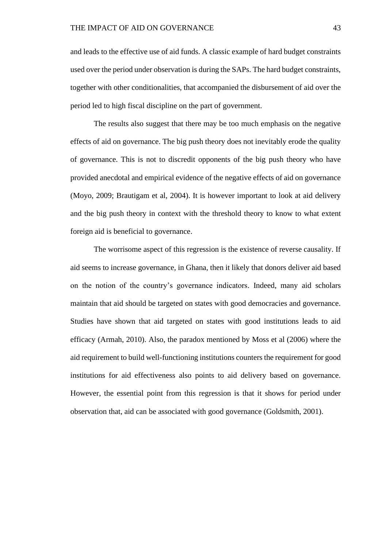and leads to the effective use of aid funds. A classic example of hard budget constraints used over the period under observation is during the SAPs. The hard budget constraints, together with other conditionalities, that accompanied the disbursement of aid over the period led to high fiscal discipline on the part of government.

The results also suggest that there may be too much emphasis on the negative effects of aid on governance. The big push theory does not inevitably erode the quality of governance. This is not to discredit opponents of the big push theory who have provided anecdotal and empirical evidence of the negative effects of aid on governance (Moyo, 2009; Brautigam et al, 2004). It is however important to look at aid delivery and the big push theory in context with the threshold theory to know to what extent foreign aid is beneficial to governance.

The worrisome aspect of this regression is the existence of reverse causality. If aid seems to increase governance, in Ghana, then it likely that donors deliver aid based on the notion of the country's governance indicators. Indeed, many aid scholars maintain that aid should be targeted on states with good democracies and governance. Studies have shown that aid targeted on states with good institutions leads to aid efficacy (Armah, 2010). Also, the paradox mentioned by Moss et al (2006) where the aid requirement to build well-functioning institutions counters the requirement for good institutions for aid effectiveness also points to aid delivery based on governance. However, the essential point from this regression is that it shows for period under observation that, aid can be associated with good governance (Goldsmith, 2001).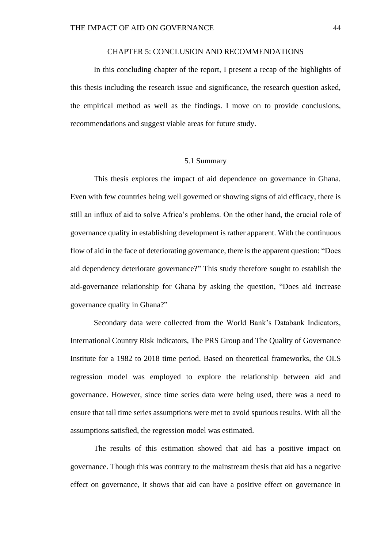### CHAPTER 5: CONCLUSION AND RECOMMENDATIONS

<span id="page-51-0"></span>In this concluding chapter of the report, I present a recap of the highlights of this thesis including the research issue and significance, the research question asked, the empirical method as well as the findings. I move on to provide conclusions, recommendations and suggest viable areas for future study.

### 5.1 Summary

<span id="page-51-1"></span>This thesis explores the impact of aid dependence on governance in Ghana. Even with few countries being well governed or showing signs of aid efficacy, there is still an influx of aid to solve Africa's problems. On the other hand, the crucial role of governance quality in establishing development is rather apparent. With the continuous flow of aid in the face of deteriorating governance, there is the apparent question: "Does aid dependency deteriorate governance?" This study therefore sought to establish the aid-governance relationship for Ghana by asking the question, "Does aid increase governance quality in Ghana?"

Secondary data were collected from the World Bank's Databank Indicators, International Country Risk Indicators, The PRS Group and The Quality of Governance Institute for a 1982 to 2018 time period. Based on theoretical frameworks, the OLS regression model was employed to explore the relationship between aid and governance. However, since time series data were being used, there was a need to ensure that tall time series assumptions were met to avoid spurious results. With all the assumptions satisfied, the regression model was estimated.

The results of this estimation showed that aid has a positive impact on governance. Though this was contrary to the mainstream thesis that aid has a negative effect on governance, it shows that aid can have a positive effect on governance in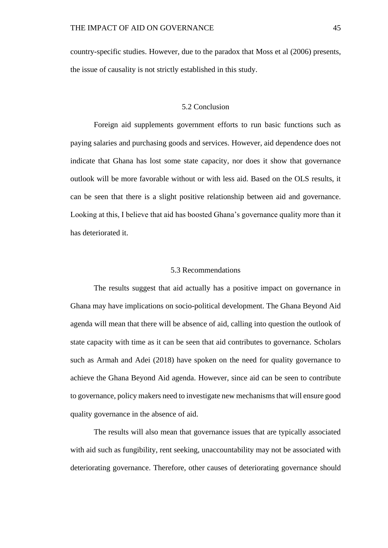country-specific studies. However, due to the paradox that Moss et al (2006) presents, the issue of causality is not strictly established in this study.

### 5.2 Conclusion

<span id="page-52-0"></span>Foreign aid supplements government efforts to run basic functions such as paying salaries and purchasing goods and services. However, aid dependence does not indicate that Ghana has lost some state capacity, nor does it show that governance outlook will be more favorable without or with less aid. Based on the OLS results, it can be seen that there is a slight positive relationship between aid and governance. Looking at this, I believe that aid has boosted Ghana's governance quality more than it has deteriorated it.

### 5.3 Recommendations

<span id="page-52-1"></span>The results suggest that aid actually has a positive impact on governance in Ghana may have implications on socio-political development. The Ghana Beyond Aid agenda will mean that there will be absence of aid, calling into question the outlook of state capacity with time as it can be seen that aid contributes to governance. Scholars such as Armah and Adei (2018) have spoken on the need for quality governance to achieve the Ghana Beyond Aid agenda. However, since aid can be seen to contribute to governance, policy makers need to investigate new mechanisms that will ensure good quality governance in the absence of aid.

The results will also mean that governance issues that are typically associated with aid such as fungibility, rent seeking, unaccountability may not be associated with deteriorating governance. Therefore, other causes of deteriorating governance should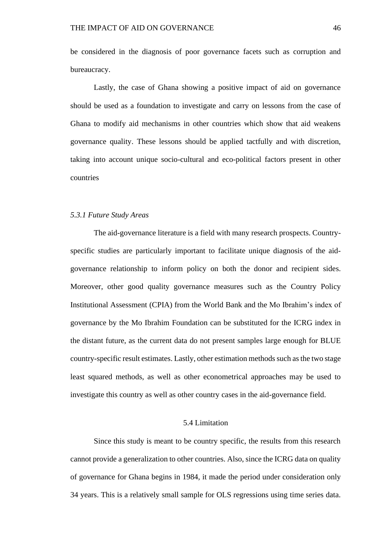be considered in the diagnosis of poor governance facets such as corruption and bureaucracy.

Lastly, the case of Ghana showing a positive impact of aid on governance should be used as a foundation to investigate and carry on lessons from the case of Ghana to modify aid mechanisms in other countries which show that aid weakens governance quality. These lessons should be applied tactfully and with discretion, taking into account unique socio-cultural and eco-political factors present in other countries

### <span id="page-53-0"></span>*5.3.1 Future Study Areas*

The aid-governance literature is a field with many research prospects. Countryspecific studies are particularly important to facilitate unique diagnosis of the aidgovernance relationship to inform policy on both the donor and recipient sides. Moreover, other good quality governance measures such as the Country Policy Institutional Assessment (CPIA) from the World Bank and the Mo Ibrahim's index of governance by the Mo Ibrahim Foundation can be substituted for the ICRG index in the distant future, as the current data do not present samples large enough for BLUE country-specific result estimates. Lastly, other estimation methods such as the two stage least squared methods, as well as other econometrical approaches may be used to investigate this country as well as other country cases in the aid-governance field.

### 5.4 Limitation

<span id="page-53-1"></span>Since this study is meant to be country specific, the results from this research cannot provide a generalization to other countries. Also, since the ICRG data on quality of governance for Ghana begins in 1984, it made the period under consideration only 34 years. This is a relatively small sample for OLS regressions using time series data.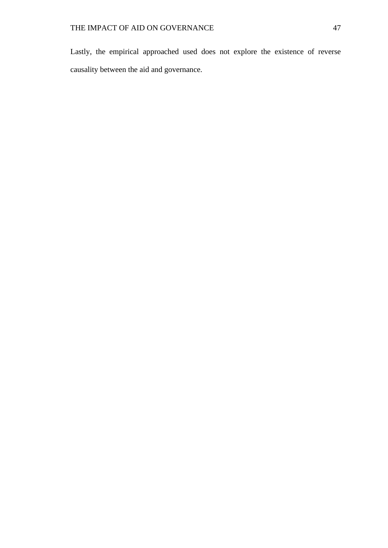Lastly, the empirical approached used does not explore the existence of reverse causality between the aid and governance.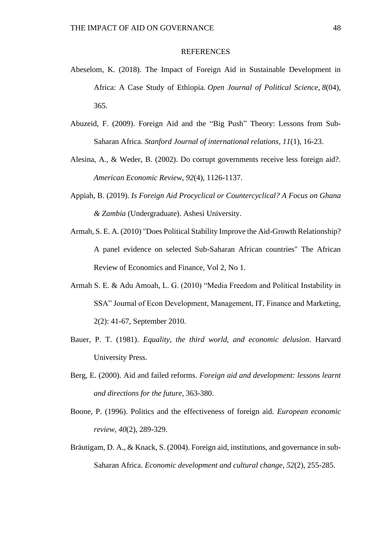#### **REFERENCES**

- <span id="page-55-0"></span>Abeselom, K. (2018). The Impact of Foreign Aid in Sustainable Development in Africa: A Case Study of Ethiopia. *Open Journal of Political Science*, *8*(04), 365.
- Abuzeid, F. (2009). Foreign Aid and the "Big Push" Theory: Lessons from Sub-Saharan Africa. *Stanford Journal of international relations*, *11*(1), 16-23.
- Alesina, A., & Weder, B. (2002). Do corrupt governments receive less foreign aid?. *American Economic Review*, *92*(4), 1126-1137.
- Appiah, B. (2019). *Is Foreign Aid Procyclical or Countercyclical? A Focus on Ghana & Zambia* (Undergraduate). Ashesi University.
- Armah, S. E. A. (2010) "Does Political Stability Improve the Aid-Growth Relationship? A panel evidence on selected Sub-Saharan African countries" The African Review of Economics and Finance, Vol 2, No 1.
- Armah S. E. & Adu Amoah, L. G. (2010) "Media Freedom and Political Instability in SSA" Journal of Econ Development, Management, IT, Finance and Marketing, 2(2): 41-67, September 2010.
- Bauer, P. T. (1981). *Equality, the third world, and economic delusion*. Harvard University Press.
- Berg, E. (2000). Aid and failed reforms. *Foreign aid and development: lessons learnt and directions for the future*, 363-380.
- Boone, P. (1996). Politics and the effectiveness of foreign aid. *European economic review*, *40*(2), 289-329.
- Bräutigam, D. A., & Knack, S. (2004). Foreign aid, institutions, and governance in sub-Saharan Africa. *Economic development and cultural change*, *52*(2), 255-285.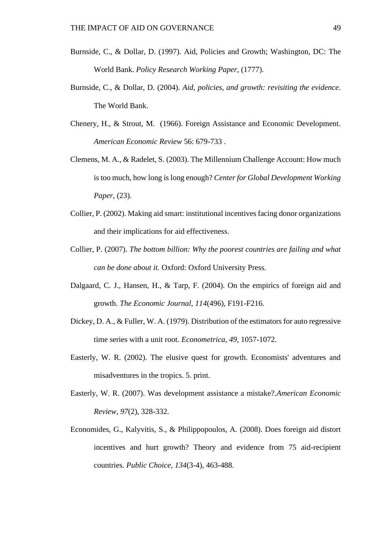- Burnside, C., & Dollar, D. (1997). Aid, Policies and Growth; Washington, DC: The World Bank. *Policy Research Working Paper*, (1777).
- Burnside, C., & Dollar, D. (2004). *Aid, policies, and growth: revisiting the evidence*. The World Bank.
- Chenery, H., & Strout, M. (1966). Foreign Assistance and Economic Development. *American Economic Review* 56: 679-733 .
- Clemens, M. A., & Radelet, S. (2003). The Millennium Challenge Account: How much is too much, how long is long enough? *Center for Global Development Working Paper*, (23).
- Collier, P. (2002). Making aid smart: institutional incentives facing donor organizations and their implications for aid effectiveness.
- Collier, P. (2007). *The bottom billion: Why the poorest countries are failing and what can be done about it.* Oxford: Oxford University Press.
- Dalgaard, C. J., Hansen, H., & Tarp, F. (2004). On the empirics of foreign aid and growth. *The Economic Journal*, *114*(496), F191-F216.
- Dickey, D. A., & Fuller, W. A. (1979). Distribution of the estimators for auto regressive time series with a unit root. *Econometrica*, *49*, 1057-1072.
- Easterly, W. R. (2002). The elusive quest for growth. Economists' adventures and misadventures in the tropics. 5. print.
- Easterly, W. R. (2007). Was development assistance a mistake?.*American Economic Review*, *97*(2), 328-332.
- Economides, G., Kalyvitis, S., & Philippopoulos, A. (2008). Does foreign aid distort incentives and hurt growth? Theory and evidence from 75 aid-recipient countries. *Public Choice*, *134*(3-4), 463-488.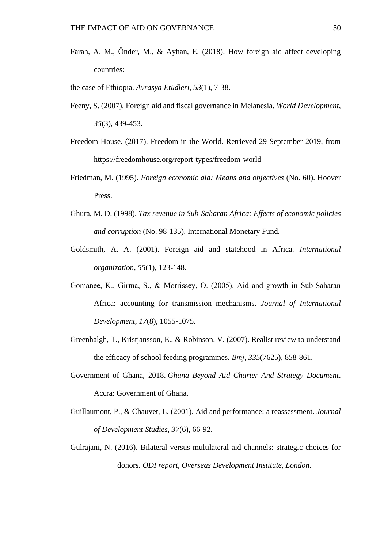- Farah, A. M., Önder, M., & Ayhan, E. (2018). How foreign aid affect developing countries:
- the case of Ethiopia. *Avrasya Etüdleri*, *53*(1), 7-38.
- Feeny, S. (2007). Foreign aid and fiscal governance in Melanesia. *World Development*, *35*(3), 439-453.
- Freedom House. (2017). Freedom in the World. Retrieved 29 September 2019, from https://freedomhouse.org/report-types/freedom-world
- Friedman, M. (1995). *Foreign economic aid: Means and objectives* (No. 60). Hoover Press.
- Ghura, M. D. (1998). *Tax revenue in Sub-Saharan Africa: Effects of economic policies and corruption* (No. 98-135). International Monetary Fund.
- Goldsmith, A. A. (2001). Foreign aid and statehood in Africa. *International organization*, *55*(1), 123-148.
- Gomanee, K., Girma, S., & Morrissey, O. (2005). Aid and growth in Sub‐Saharan Africa: accounting for transmission mechanisms. *Journal of International Development*, *17*(8), 1055-1075.
- Greenhalgh, T., Kristjansson, E., & Robinson, V. (2007). Realist review to understand the efficacy of school feeding programmes. *Bmj*, *335*(7625), 858-861.
- Government of Ghana, 2018. *Ghana Beyond Aid Charter And Strategy Document*. Accra: Government of Ghana.
- Guillaumont, P., & Chauvet, L. (2001). Aid and performance: a reassessment. *Journal of Development Studies*, *37*(6), 66-92.
- Gulrajani, N. (2016). Bilateral versus multilateral aid channels: strategic choices for donors. *ODI report, Overseas Development Institute, London*.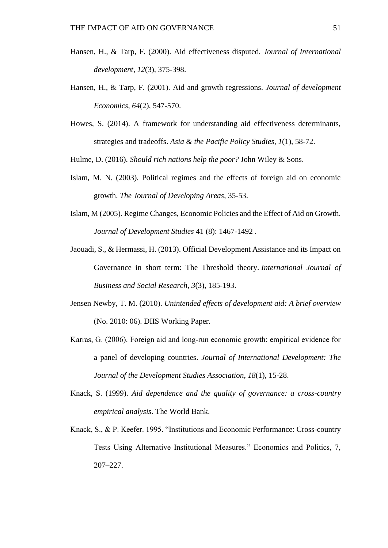- Hansen, H., & Tarp, F. (2000). Aid effectiveness disputed. *Journal of International development*, *12*(3), 375-398.
- Hansen, H., & Tarp, F. (2001). Aid and growth regressions. *Journal of development Economics*, *64*(2), 547-570.
- Howes, S. (2014). A framework for understanding aid effectiveness determinants, strategies and tradeoffs. *Asia & the Pacific Policy Studies*, *1*(1), 58-72.
- Hulme, D. (2016). *Should rich nations help the poor?* John Wiley & Sons.
- Islam, M. N. (2003). Political regimes and the effects of foreign aid on economic growth. *The Journal of Developing Areas*, 35-53.
- Islam, M (2005). Regime Changes, Economic Policies and the Effect of Aid on Growth. *Journal of Development Studies* 41 (8): 1467-1492 .
- Jaouadi, S., & Hermassi, H. (2013). Official Development Assistance and its Impact on Governance in short term: The Threshold theory. *International Journal of Business and Social Research*, *3*(3), 185-193.
- Jensen Newby, T. M. (2010). *Unintended effects of development aid: A brief overview*  (No. 2010: 06). DIIS Working Paper.
- Karras, G. (2006). Foreign aid and long‐run economic growth: empirical evidence for a panel of developing countries. *Journal of International Development: The Journal of the Development Studies Association*, *18*(1), 15-28.
- Knack, S. (1999). *Aid dependence and the quality of governance: a cross-country empirical analysis*. The World Bank.
- Knack, S., & P. Keefer. 1995. "Institutions and Economic Performance: Cross-country Tests Using Alternative Institutional Measures." Economics and Politics, 7, 207–227.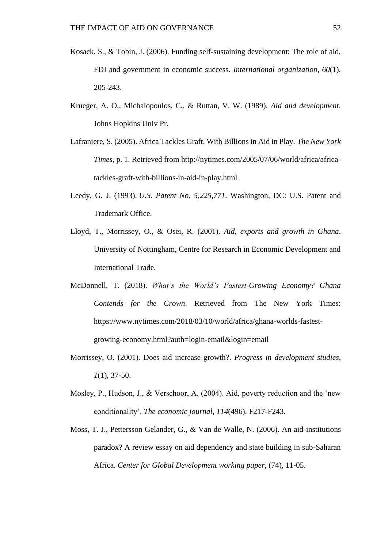- Kosack, S., & Tobin, J. (2006). Funding self-sustaining development: The role of aid, FDI and government in economic success. *International organization*, *60*(1), 205-243.
- Krueger, A. O., Michalopoulos, C., & Ruttan, V. W. (1989). *Aid and development*. Johns Hopkins Univ Pr.
- Lafraniere, S. (2005). Africa Tackles Graft, With Billions in Aid in Play. *The New York Times*, p. 1. Retrieved from [http://nytimes.com/2005/07/06/world/africa/africa](http://nytimes.com/2005/07/06/world/africa/africa-tackles-graft-with-billions-in-aid-in-play.html)[tackles-graft-with-billions-in-aid-in-play.html](http://nytimes.com/2005/07/06/world/africa/africa-tackles-graft-with-billions-in-aid-in-play.html)
- Leedy, G. J. (1993). *U.S. Patent No. 5,225,771*. Washington, DC: U.S. Patent and Trademark Office.
- Lloyd, T., Morrissey, O., & Osei, R. (2001). *Aid, exports and growth in Ghana*. University of Nottingham, Centre for Research in Economic Development and International Trade.
- McDonnell, T. (2018). *What's the World's Fastest-Growing Economy? Ghana Contends for the Crown*. Retrieved from The New York Times: https://www.nytimes.com/2018/03/10/world/africa/ghana-worlds-fastestgrowing-economy.html?auth=login-email&login=email
- Morrissey, O. (2001). Does aid increase growth?. *Progress in development studies*, *1*(1), 37-50.
- Mosley, P., Hudson, J., & Verschoor, A. (2004). Aid, poverty reduction and the 'new conditionality'. *The economic journal*, *114*(496), F217-F243.
- Moss, T. J., Pettersson Gelander, G., & Van de Walle, N. (2006). An aid-institutions paradox? A review essay on aid dependency and state building in sub-Saharan Africa. *Center for Global Development working paper*, (74), 11-05.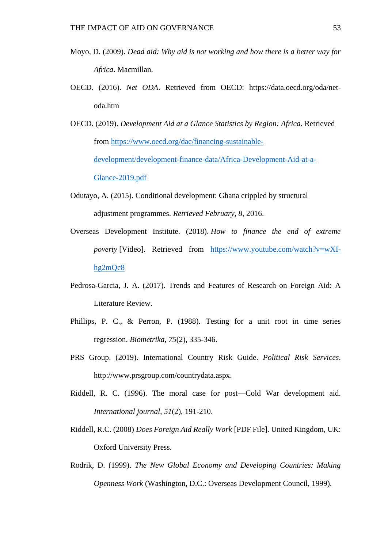- Moyo, D. (2009). *Dead aid: Why aid is not working and how there is a better way for Africa*. Macmillan.
- OECD. (2016). *Net ODA*. Retrieved from OECD: https://data.oecd.org/oda/netoda.htm
- OECD. (2019). *Development Aid at a Glance Statistics by Region: Africa*. Retrieved from [https://www.oecd.org/dac/financing-sustainable](https://www.oecd.org/dac/financing-sustainable-development/development-finance-data/Africa-Development-Aid-at-a-Glance-2019.pdf)[development/development-finance-data/Africa-Development-Aid-at-a-](https://www.oecd.org/dac/financing-sustainable-development/development-finance-data/Africa-Development-Aid-at-a-Glance-2019.pdf)[Glance-2019.pdf](https://www.oecd.org/dac/financing-sustainable-development/development-finance-data/Africa-Development-Aid-at-a-Glance-2019.pdf)
- Odutayo, A. (2015). Conditional development: Ghana crippled by structural adjustment programmes. *Retrieved February*, *8*, 2016.
- Overseas Development Institute. (2018). *How to finance the end of extreme poverty* [Video]. Retrieved from [https://www.youtube.com/watch?v=wXI](https://www.youtube.com/watch?v=wXI-hg2mQc8)[hg2mQc8](https://www.youtube.com/watch?v=wXI-hg2mQc8)
- Pedrosa-Garcia, J. A. (2017). Trends and Features of Research on Foreign Aid: A Literature Review.
- Phillips, P. C., & Perron, P. (1988). Testing for a unit root in time series regression. *Biometrika*, *75*(2), 335-346.
- PRS Group. (2019). International Country Risk Guide. *Political Risk Services*. http://www.prsgroup.com/countrydata.aspx.
- Riddell, R. C. (1996). The moral case for post—Cold War development aid. *International journal*, *51*(2), 191-210.
- Riddell, R.C. (2008) *Does Foreign Aid Really Work* [PDF File]. United Kingdom, UK: Oxford University Press.
- Rodrik, D. (1999). *The New Global Economy and Developing Countries: Making Openness Work* (Washington, D.C.: Overseas Development Council, 1999).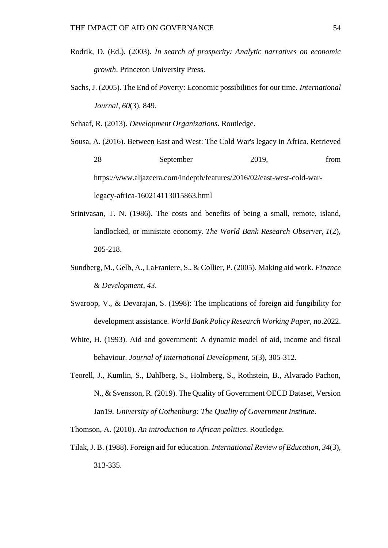- Rodrik, D. (Ed.). (2003). *In search of prosperity: Analytic narratives on economic growth*. Princeton University Press.
- Sachs, J. (2005). The End of Poverty: Economic possibilities for our time. *International Journal*, *60*(3), 849.

Schaaf, R. (2013). *Development Organizations*. Routledge.

Sousa, A. (2016). Between East and West: The Cold War's legacy in Africa. Retrieved 28 September 2019, from [https://www.aljazeera.com/indepth/features/2016/02/east-west-cold-war](https://www.aljazeera.com/indepth/features/2016/02/east-west-cold-war-legacy-africa-160214113015863.html)[legacy-africa-160214113015863.html](https://www.aljazeera.com/indepth/features/2016/02/east-west-cold-war-legacy-africa-160214113015863.html)

- Srinivasan, T. N. (1986). The costs and benefits of being a small, remote, island, landlocked, or ministate economy. *The World Bank Research Observer*, *1*(2), 205-218.
- Sundberg, M., Gelb, A., LaFraniere, S., & Collier, P. (2005). Making aid work. *Finance & Development*, *43*.
- Swaroop, V., & Devarajan, S. (1998): The implications of foreign aid fungibility for development assistance. *World Bank Policy Research Working Paper*, no.2022.
- White, H. (1993). Aid and government: A dynamic model of aid, income and fiscal behaviour. *Journal of International Development*, *5*(3), 305-312.
- Teorell, J., Kumlin, S., Dahlberg, S., Holmberg, S., Rothstein, B., Alvarado Pachon, N., & Svensson, R. (2019). The Quality of Government OECD Dataset, Version Jan19. *University of Gothenburg: The Quality of Government Institute*.

Thomson, A. (2010). *An introduction to African politics*. Routledge.

Tilak, J. B. (1988). Foreign aid for education. *International Review of Education*, *34*(3), 313-335.